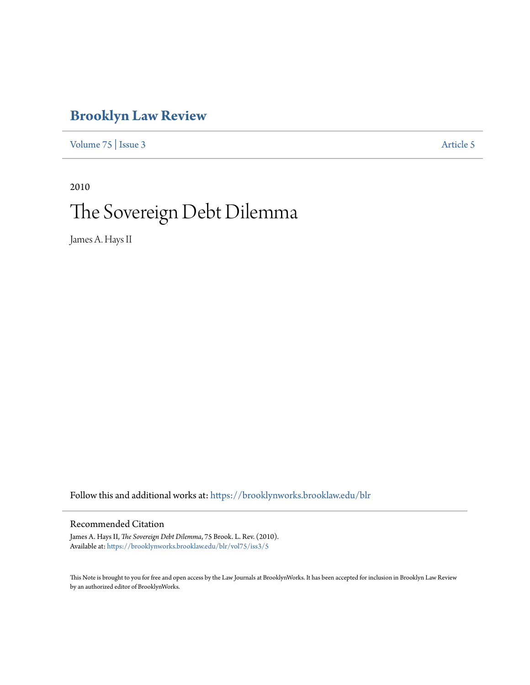# **[Brooklyn Law Review](https://brooklynworks.brooklaw.edu/blr?utm_source=brooklynworks.brooklaw.edu%2Fblr%2Fvol75%2Fiss3%2F5&utm_medium=PDF&utm_campaign=PDFCoverPages)**

[Volume 75](https://brooklynworks.brooklaw.edu/blr/vol75?utm_source=brooklynworks.brooklaw.edu%2Fblr%2Fvol75%2Fiss3%2F5&utm_medium=PDF&utm_campaign=PDFCoverPages) | [Issue 3](https://brooklynworks.brooklaw.edu/blr/vol75/iss3?utm_source=brooklynworks.brooklaw.edu%2Fblr%2Fvol75%2Fiss3%2F5&utm_medium=PDF&utm_campaign=PDFCoverPages) [Article 5](https://brooklynworks.brooklaw.edu/blr/vol75/iss3/5?utm_source=brooklynworks.brooklaw.edu%2Fblr%2Fvol75%2Fiss3%2F5&utm_medium=PDF&utm_campaign=PDFCoverPages)

# 2010 The Sovereign Debt Dilemma

James A. Hays II

Follow this and additional works at: [https://brooklynworks.brooklaw.edu/blr](https://brooklynworks.brooklaw.edu/blr?utm_source=brooklynworks.brooklaw.edu%2Fblr%2Fvol75%2Fiss3%2F5&utm_medium=PDF&utm_campaign=PDFCoverPages)

# Recommended Citation

James A. Hays II, *The Sovereign Debt Dilemma*, 75 Brook. L. Rev. (2010). Available at: [https://brooklynworks.brooklaw.edu/blr/vol75/iss3/5](https://brooklynworks.brooklaw.edu/blr/vol75/iss3/5?utm_source=brooklynworks.brooklaw.edu%2Fblr%2Fvol75%2Fiss3%2F5&utm_medium=PDF&utm_campaign=PDFCoverPages)

This Note is brought to you for free and open access by the Law Journals at BrooklynWorks. It has been accepted for inclusion in Brooklyn Law Review by an authorized editor of BrooklynWorks.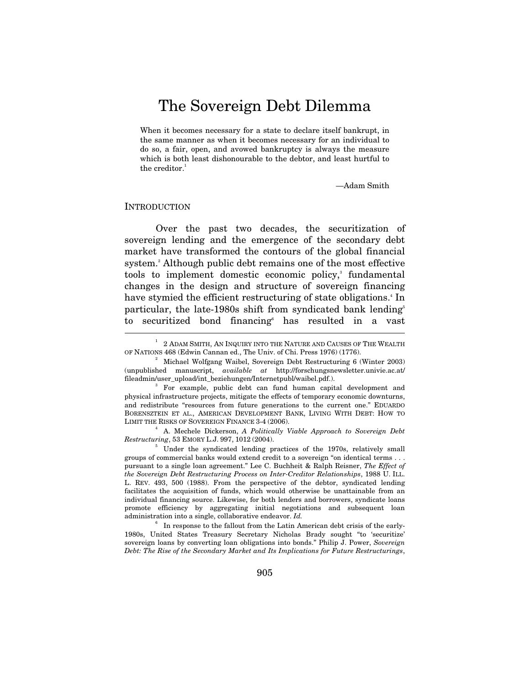# The Sovereign Debt Dilemma

When it becomes necessary for a state to declare itself bankrupt, in the same manner as when it becomes necessary for an individual to do so, a fair, open, and avowed bankruptcy is always the measure which is both least dishonourable to the debtor, and least hurtful to the creditor.<sup>1</sup>

—Adam Smith

#### INTRODUCTION

Over the past two decades, the securitization of sovereign lending and the emergence of the secondary debt market have transformed the contours of the global financial system.<sup>2</sup> Although public debt remains one of the most effective tools to implement domestic economic policy,<sup>3</sup> fundamental changes in the design and structure of sovereign financing have stymied the efficient restructuring of state obligations.<sup>4</sup> In particular, the late-1980s shift from syndicated bank lending<sup>5</sup> to securitized bond financing has resulted in a vast

 $1$  2 ADAM SMITH, AN INQUIRY INTO THE NATURE AND CAUSES OF THE WEALTH OF NATIONS 468 (Edwin Cannan ed., The Univ. of Chi. Press 1976) (1776). 2

 $3$  Michael Wolfgang Waibel, Sovereign Debt Restructuring 6 (Winter 2003) (unpublished manuscript, *available at* http://forschungsnewsletter.univie.ac.at/ fileadmin/user\_upload/int\_beziehungen/Internetpubl/waibel.pdf.). 3

For example, public debt can fund human capital development and physical infrastructure projects, mitigate the effects of temporary economic downturns, and redistribute "resources from future generations to the current one." EDUARDO BORENSZTEIN ET AL., AMERICAN DEVELOPMENT BANK, LIVING WITH DEBT: HOW TO LIMIT THE RISKS OF SOVEREIGN FINANCE 3-4 (2006).

A. Mechele Dickerson, *A Politically Viable Approach to Sovereign Debt Restructuring*, 53 EMORY L.J. 997, 1012 (2004).

 $5$  Under the syndicated lending practices of the 1970s, relatively small groups of commercial banks would extend credit to a sovereign "on identical terms . . . pursuant to a single loan agreement." Lee C. Buchheit & Ralph Reisner, *The Effect of the Sovereign Debt Restructuring Process on Inter-Creditor Relationships*, 1988 U. ILL. L. REV. 493, 500 (1988). From the perspective of the debtor, syndicated lending facilitates the acquisition of funds, which would otherwise be unattainable from an individual financing source. Likewise, for both lenders and borrowers, syndicate loans promote efficiency by aggregating initial negotiations and subsequent loan administration into a single, collaborative endeavor. *Id.* 

<sup>6</sup> In response to the fallout from the Latin American debt crisis of the early-1980s, United States Treasury Secretary Nicholas Brady sought "to 'securitize' sovereign loans by converting loan obligations into bonds." Philip J. Power, *Sovereign Debt: The Rise of the Secondary Market and Its Implications for Future Restructurings*,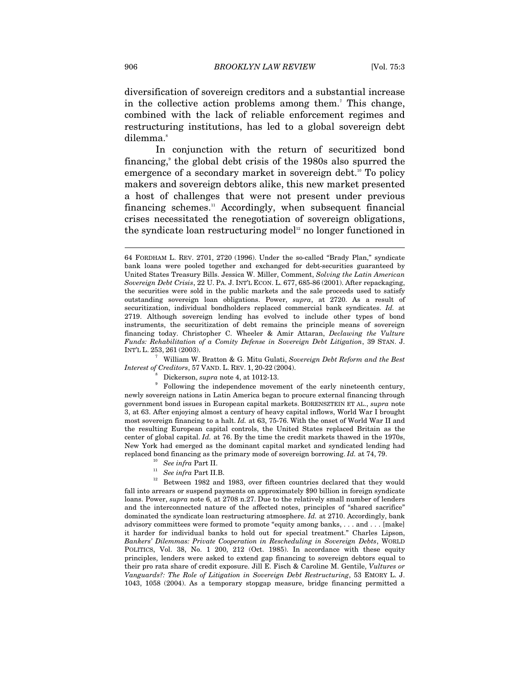diversification of sovereign creditors and a substantial increase in the collective action problems among them.7 This change, combined with the lack of reliable enforcement regimes and restructuring institutions, has led to a global sovereign debt dilemma.<sup>8</sup>

In conjunction with the return of securitized bond financing,<sup>9</sup> the global debt crisis of the 1980s also spurred the emergence of a secondary market in sovereign debt.<sup>10</sup> To policy makers and sovereign debtors alike, this new market presented a host of challenges that were not present under previous financing schemes.<sup>11</sup> Accordingly, when subsequent financial crises necessitated the renegotiation of sovereign obligations, the syndicate loan restructuring model<sup>12</sup> no longer functioned in

 William W. Bratton & G. Mitu Gulati, *Sovereign Debt Reform and the Best Interest of Creditors*, 57 VAND. L. REV. 1, 20-22 (2004).

 Following the independence movement of the early nineteenth century, newly sovereign nations in Latin America began to procure external financing through government bond issues in European capital markets. BORENSZTEIN ET AL., *supra* note 3, at 63. After enjoying almost a century of heavy capital inflows, World War I brought most sovereign financing to a halt. *Id.* at 63, 75-76. With the onset of World War II and the resulting European capital controls, the United States replaced Britain as the center of global capital. *Id.* at 76. By the time the credit markets thawed in the 1970s, New York had emerged as the dominant capital market and syndicated lending had replaced bond financing as the primary mode of sovereign borrowing. Id. at 74, 79.<br>
<sup>10</sup> See infra Part II.<br>
<sup>11</sup> See infra Part II.B.<br>
<sup>12</sup> Between 1982 and 1983, over fifteen countries declared that they would

- 
- 

fall into arrears or suspend payments on approximately \$90 billion in foreign syndicate loans. Power, *supra* note 6, at 2708 n.27. Due to the relatively small number of lenders and the interconnected nature of the affected notes, principles of "shared sacrifice" dominated the syndicate loan restructuring atmosphere. *Id.* at 2710. Accordingly, bank advisory committees were formed to promote "equity among banks, . . . and . . . [make] it harder for individual banks to hold out for special treatment." Charles Lipson, *Bankers' Dilemmas: Private Cooperation in Rescheduling in Sovereign Debts*, WORLD POLITICS, Vol. 38, No. 1 200, 212 (Oct. 1985). In accordance with these equity principles, lenders were asked to extend gap financing to sovereign debtors equal to their pro rata share of credit exposure. Jill E. Fisch & Caroline M. Gentile, *Vultures or Vanguards?: The Role of Litigation in Sovereign Debt Restructuring*, 53 EMORY L. J. 1043, 1058 (2004). As a temporary stopgap measure, bridge financing permitted a

<sup>64</sup> FORDHAM L. REV. 2701, 2720 (1996). Under the so-called "Brady Plan," syndicate bank loans were pooled together and exchanged for debt-securities guaranteed by United States Treasury Bills. Jessica W. Miller, Comment, *Solving the Latin American Sovereign Debt Crisis*, 22 U. PA. J. INT'L ECON. L. 677, 685-86 (2001). After repackaging, the securities were sold in the public markets and the sale proceeds used to satisfy outstanding sovereign loan obligations. Power, *supra*, at 2720. As a result of securitization, individual bondholders replaced commercial bank syndicates. *Id.* at 2719. Although sovereign lending has evolved to include other types of bond instruments, the securitization of debt remains the principle means of sovereign financing today. Christopher C. Wheeler & Amir Attaran, *Declawing the Vulture Funds: Rehabilitation of a Comity Defense in Sovereign Debt Litigation*, 39 STAN. J. INT'L L. 253, <sup>261</sup> (2003). 7

 $\frac{1}{9}$  Dickerson, *supra* note 4, at 1012-13.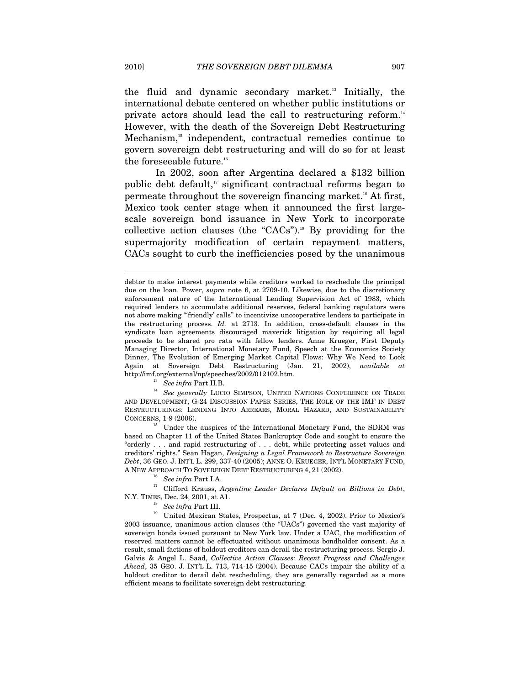the fluid and dynamic secondary market.<sup>13</sup> Initially, the international debate centered on whether public institutions or private actors should lead the call to restructuring reform.<sup>14</sup> However, with the death of the Sovereign Debt Restructuring Mechanism,<sup>15</sup> independent, contractual remedies continue to govern sovereign debt restructuring and will do so for at least the foreseeable future.<sup>16</sup>

In 2002, soon after Argentina declared a \$132 billion public debt default, $\alpha$  significant contractual reforms began to permeate throughout the sovereign financing market.<sup>18</sup> At first, Mexico took center stage when it announced the first largescale sovereign bond issuance in New York to incorporate collective action clauses (the "CACs").<sup>19</sup> By providing for the supermajority modification of certain repayment matters, CACs sought to curb the inefficiencies posed by the unanimous

http://imf.org/external/np/speeches/2002/012102.htm.<br><sup>13</sup> *See infra* Part II.B.<br><sup>14</sup> *See generally* LUCIO SIMPSON, UNITED NATIONS CONFERENCE ON TRADE AND DEVELOPMENT, G-24 DISCUSSION PAPER SERIES, THE ROLE OF THE IMF IN DEBT RESTRUCTURINGS: LENDING INTO ARREARS, MORAL HAZARD, AND SUSTAINABILITY CONCERNS, 1-9 (2006).  $^{15}$  Under the auspices of the International Monetary Fund, the SDRM was

based on Chapter 11 of the United States Bankruptcy Code and sought to ensure the "orderly . . . and rapid restructuring of . . . debt, while protecting asset values and creditors' rights." Sean Hagan, *Designing a Legal Framework to Restructure Sovereign Debt*, 36 GEO. J. INT'L L. 299, 337-40 (2005); ANNE O. KRUEGER, INT'L MONETARY FUND, A NEW APPROACH TO SOVEREIGN DEBT RESTRUCTURING 4, 21 (2002). See in<br>fra Part I.A.

<sup>17</sup> Clifford Krauss, *Argentine Leader Declares Default on Billions in Debt*, N.Y. TIMES, Dec. 24, 2001, at A1.

<sup>18</sup> See *infra* Part III.<br><sup>19</sup> United Mexican States, Prospectus, at 7 (Dec. 4, 2002). Prior to Mexico's 2003 issuance, unanimous action clauses (the "UACs") governed the vast majority of sovereign bonds issued pursuant to New York law. Under a UAC, the modification of reserved matters cannot be effectuated without unanimous bondholder consent. As a result, small factions of holdout creditors can derail the restructuring process. Sergio J. Galvis & Angel L. Saad, *Collective Action Clauses: Recent Progress and Challenges Ahead*, 35 GEO. J. INT'L L. 713, 714-15 (2004). Because CACs impair the ability of a holdout creditor to derail debt rescheduling, they are generally regarded as a more efficient means to facilitate sovereign debt restructuring.

debtor to make interest payments while creditors worked to reschedule the principal due on the loan. Power, *supra* note 6, at 2709-10. Likewise, due to the discretionary enforcement nature of the International Lending Supervision Act of 1983, which required lenders to accumulate additional reserves, federal banking regulators were not above making "'friendly' calls" to incentivize uncooperative lenders to participate in the restructuring process. *Id.* at 2713. In addition, cross-default clauses in the syndicate loan agreements discouraged maverick litigation by requiring all legal proceeds to be shared pro rata with fellow lenders. Anne Krueger, First Deputy Managing Director, International Monetary Fund, Speech at the Economics Society Dinner, The Evolution of Emerging Market Capital Flows: Why We Need to Look Again at Sovereign Debt Restructuring (Jan. 21, 2002), *available at*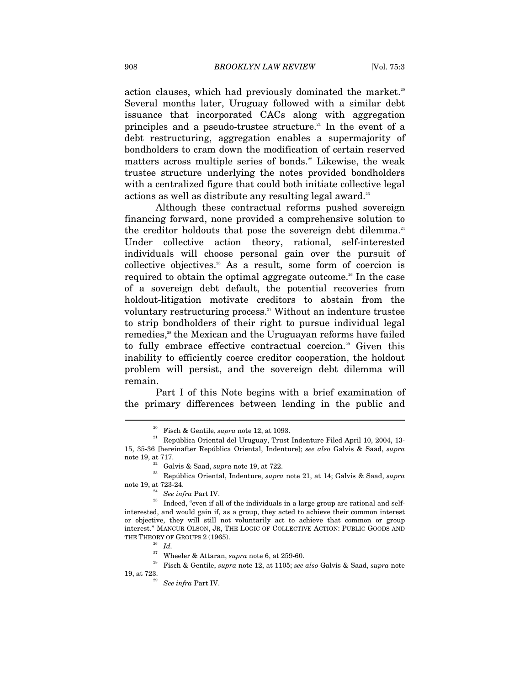action clauses, which had previously dominated the market.<sup>20</sup> Several months later, Uruguay followed with a similar debt issuance that incorporated CACs along with aggregation principles and a pseudo-trustee structure.<sup>21</sup> In the event of a debt restructuring, aggregation enables a supermajority of bondholders to cram down the modification of certain reserved matters across multiple series of bonds.<sup>22</sup> Likewise, the weak trustee structure underlying the notes provided bondholders with a centralized figure that could both initiate collective legal actions as well as distribute any resulting legal award.<sup>23</sup>

Although these contractual reforms pushed sovereign financing forward, none provided a comprehensive solution to the creditor holdouts that pose the sovereign debt dilemma.<sup>24</sup> Under collective action theory, rational, self-interested individuals will choose personal gain over the pursuit of collective objectives.25 As a result, some form of coercion is required to obtain the optimal aggregate outcome.<sup>26</sup> In the case of a sovereign debt default, the potential recoveries from holdout-litigation motivate creditors to abstain from the voluntary restructuring process.<sup>27</sup> Without an indenture trustee to strip bondholders of their right to pursue individual legal remedies,<sup>28</sup> the Mexican and the Uruguayan reforms have failed to fully embrace effective contractual coercion.<sup>29</sup> Given this inability to efficiently coerce creditor cooperation, the holdout problem will persist, and the sovereign debt dilemma will remain.

Part I of this Note begins with a brief examination of the primary differences between lending in the public and

<sup>20</sup> Fisch & Gentile, *supra* note 12, at 1093. 21 República Oriental del Uruguay, Trust Indenture Filed April 10, 2004, 13- 15, 35-36 [hereinafter República Oriental, Indenture]; *see also* Galvis & Saad, *supra*

note 19, at 717. 22 Galvis & Saad, *supra* note 19, at 722. 23 República Oriental, Indenture, *supra* note 21, at 14; Galvis & Saad, *supra*

note 19, at 723-24.<br><sup>24</sup> *See infra* Part IV. <br><sup>25</sup> Indeed, "even if all of the individuals in a large group are rational and selfinterested, and would gain if, as a group, they acted to achieve their common interest or objective, they will still not voluntarily act to achieve that common or group interest." MANCUR OLSON, JR, THE LOGIC OF COLLECTIVE ACTION: PUBLIC GOODS AND THE THEORY OF GROUPS 2 (1965).  $id.$  <sup>27</sup> Wheeler & Attaran, *supra* note 6, at 259-60.

<sup>&</sup>lt;sup>28</sup> Fisch & Gentile, *supra* note 12, at 1105; *see also* Galvis & Saad, *supra* note 19. at 723.

<sup>19,</sup> at 723. 29 *See infra* Part IV.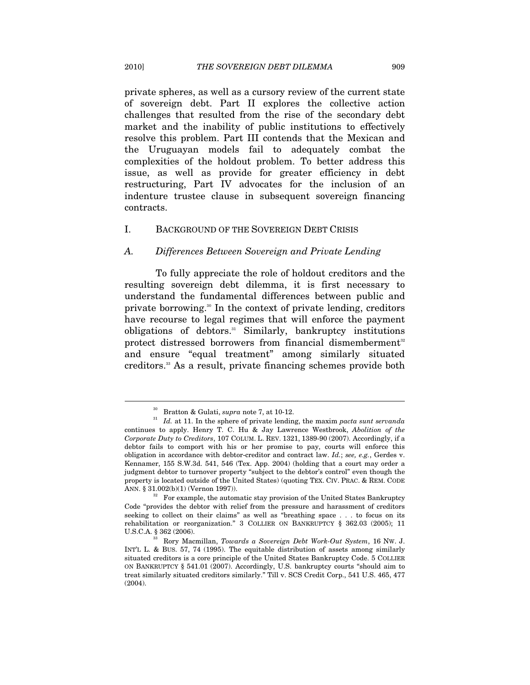private spheres, as well as a cursory review of the current state of sovereign debt. Part II explores the collective action challenges that resulted from the rise of the secondary debt market and the inability of public institutions to effectively resolve this problem. Part III contends that the Mexican and the Uruguayan models fail to adequately combat the complexities of the holdout problem. To better address this issue, as well as provide for greater efficiency in debt restructuring, Part IV advocates for the inclusion of an indenture trustee clause in subsequent sovereign financing contracts.

#### I. BACKGROUND OF THE SOVEREIGN DEBT CRISIS

#### *A. Differences Between Sovereign and Private Lending*

To fully appreciate the role of holdout creditors and the resulting sovereign debt dilemma, it is first necessary to understand the fundamental differences between public and private borrowing.30 In the context of private lending, creditors have recourse to legal regimes that will enforce the payment obligations of debtors.<sup>31</sup> Similarly, bankruptcy institutions protect distressed borrowers from financial dismemberment<sup>32</sup> and ensure "equal treatment" among similarly situated creditors.<sup>33</sup> As a result, private financing schemes provide both

<sup>30</sup> Bratton & Gulati, *supra* note 7, at 10-12.

<sup>31</sup> *Id.* at 11. In the sphere of private lending, the maxim *pacta sunt servanda* continues to apply. Henry T. C. Hu & Jay Lawrence Westbrook, *Abolition of the Corporate Duty to Creditors*, 107 COLUM. L. REV. 1321, 1389-90 (2007). Accordingly, if a debtor fails to comport with his or her promise to pay, courts will enforce this obligation in accordance with debtor-creditor and contract law. *Id.*; *see, e.g.*, Gerdes v. Kennamer, 155 S.W.3d. 541, 546 (Tex. App. 2004) (holding that a court may order a judgment debtor to turnover property "subject to the debtor's control" even though the property is located outside of the United States) (quoting TEX. CIV. PRAC. & REM. CODE

ANN. § 31.002(b)(1) (Vernon 1997)). <br><sup>32</sup> For example, the automatic stay provision of the United States Bankruptcy Code "provides the debtor with relief from the pressure and harassment of creditors seeking to collect on their claims" as well as "breathing space . . . to focus on its rehabilitation or reorganization." 3 COLLIER ON BANKRUPTCY § 362.03 (2005); 11 U.S.C.A. § 362 (2006). 33 Rory Macmillan, *Towards a Sovereign Debt Work-Out System*, 16 NW. J.

INT'L L. & BUS. 57, 74 (1995). The equitable distribution of assets among similarly situated creditors is a core principle of the United States Bankruptcy Code. 5 COLLIER ON BANKRUPTCY § 541.01 (2007). Accordingly, U.S. bankruptcy courts "should aim to treat similarly situated creditors similarly." Till v. SCS Credit Corp., 541 U.S. 465, 477  $(2004)$ .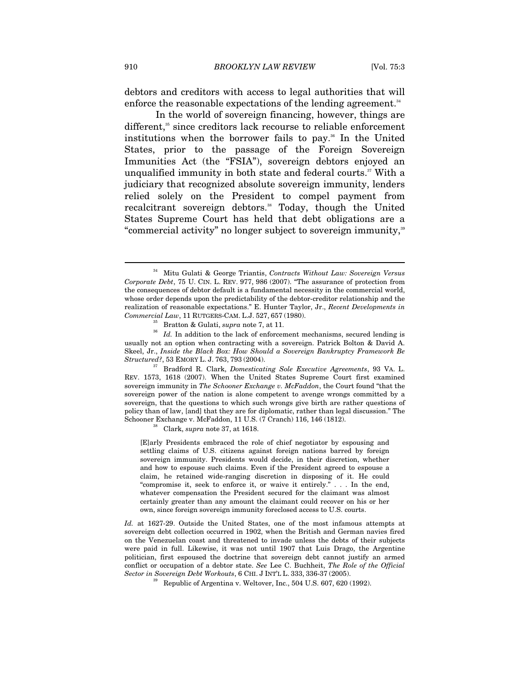debtors and creditors with access to legal authorities that will enforce the reasonable expectations of the lending agreement.<sup>34</sup>

In the world of sovereign financing, however, things are different,<sup>35</sup> since creditors lack recourse to reliable enforcement institutions when the borrower fails to pay.<sup>36</sup> In the United States, prior to the passage of the Foreign Sovereign Immunities Act (the "FSIA"), sovereign debtors enjoyed an unqualified immunity in both state and federal courts.<sup>37</sup> With a judiciary that recognized absolute sovereign immunity, lenders relied solely on the President to compel payment from recalcitrant sovereign debtors.<sup>38</sup> Today, though the United States Supreme Court has held that debt obligations are a "commercial activity" no longer subject to sovereign immunity,<sup>39</sup>

*Structured?*, 53 EMORY L. J. 763, <sup>793</sup> (2004). 37 Bradford R. Clark, *Domesticating Sole Executive Agreements*, 93 VA. L. REV. 1573, 1618 (2007). When the United States Supreme Court first examined sovereign immunity in *The Schooner Exchange v. McFaddon*, the Court found "that the sovereign power of the nation is alone competent to avenge wrongs committed by a sovereign, that the questions to which such wrongs give birth are rather questions of policy than of law, [and] that they are for diplomatic, rather than legal discussion." The Schooner Exchange v. McFaddon, 11 U.S. (7 Cranch) 116, 146 (1812). 38 Clark, *supra* note 37, at 1618.

[E]arly Presidents embraced the role of chief negotiator by espousing and settling claims of U.S. citizens against foreign nations barred by foreign sovereign immunity. Presidents would decide, in their discretion, whether and how to espouse such claims. Even if the President agreed to espouse a claim, he retained wide-ranging discretion in disposing of it. He could "compromise it, seek to enforce it, or waive it entirely." . . . In the end, whatever compensation the President secured for the claimant was almost certainly greater than any amount the claimant could recover on his or her own, since foreign sovereign immunity foreclosed access to U.S. courts.

*Id.* at 1627-29. Outside the United States, one of the most infamous attempts at sovereign debt collection occurred in 1902, when the British and German navies fired on the Venezuelan coast and threatened to invade unless the debts of their subjects were paid in full. Likewise, it was not until 1907 that Luis Drago, the Argentine politician, first espoused the doctrine that sovereign debt cannot justify an armed conflict or occupation of a debtor state. *See* Lee C. Buchheit, *The Role of the Official Sector in Sovereign Debt Workouts*, 6 CHI. <sup>J</sup> INT'L L. 333, 336-37 (2005). 39 Republic of Argentina v. Weltover, Inc., 504 U.S. 607, 620 (1992).

<sup>34</sup> Mitu Gulati & George Triantis, *Contracts Without Law: Sovereign Versus Corporate Debt*, 75 U. CIN. L. REV. 977, 986 (2007). "The assurance of protection from the consequences of debtor default is a fundamental necessity in the commercial world, whose order depends upon the predictability of the debtor-creditor relationship and the realization of reasonable expectations." E. Hunter Taylor, Jr., *Recent Developments in Commercial Law*, 11 RUTGERS-CAM. L.J. 527, <sup>657</sup> (1980). 35 Bratton & Gulati, *supra* note 7, at 11.

<sup>&</sup>lt;sup>36</sup> *Id.* In addition to the lack of enforcement mechanisms, secured lending is usually not an option when contracting with a sovereign. Patrick Bolton & David A. Skeel, Jr., *Inside the Black Box: How Should a Sovereign Bankruptcy Framework Be*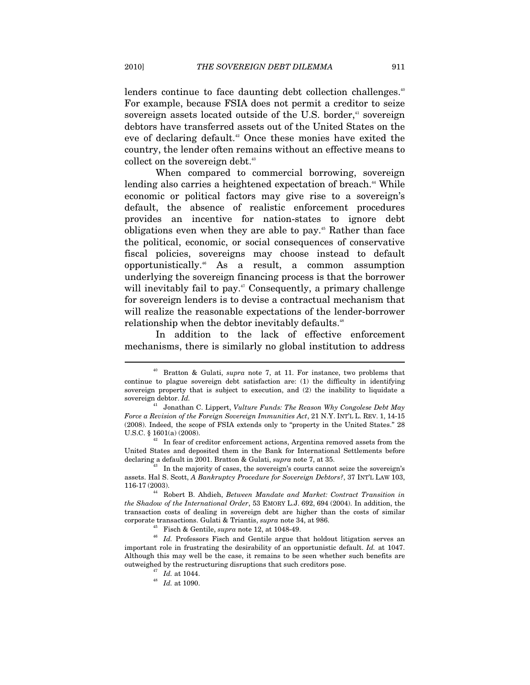lenders continue to face daunting debt collection challenges.<sup>40</sup> For example, because FSIA does not permit a creditor to seize sovereign assets located outside of the U.S. border,<sup>41</sup> sovereign debtors have transferred assets out of the United States on the eve of declaring default.<sup>42</sup> Once these monies have exited the country, the lender often remains without an effective means to collect on the sovereign debt.<sup>43</sup>

When compared to commercial borrowing, sovereign lending also carries a heightened expectation of breach.<sup>44</sup> While economic or political factors may give rise to a sovereign's default, the absence of realistic enforcement procedures provides an incentive for nation-states to ignore debt obligations even when they are able to pay.<sup>45</sup> Rather than face the political, economic, or social consequences of conservative fiscal policies, sovereigns may choose instead to default opportunistically.46 As a result, a common assumption underlying the sovereign financing process is that the borrower will inevitably fail to pay.<sup>47</sup> Consequently, a primary challenge for sovereign lenders is to devise a contractual mechanism that will realize the reasonable expectations of the lender-borrower relationship when the debtor inevitably defaults.<sup>48</sup>

In addition to the lack of effective enforcement mechanisms, there is similarly no global institution to address

<sup>40</sup> Bratton & Gulati, *supra* note 7, at 11. For instance, two problems that continue to plague sovereign debt satisfaction are: (1) the difficulty in identifying sovereign property that is subject to execution, and (2) the inability to liquidate a sovereign debtor. *Id.* 

<sup>41</sup> Jonathan C. Lippert, *Vulture Funds: The Reason Why Congolese Debt May Force a Revision of the Foreign Sovereign Immunities Act*, 21 N.Y. INT'L L. REV. 1, 14-15 (2008). Indeed, the scope of FSIA extends only to "property in the United States."  $28$  U.S.C. § 1601(a) (2008).

 $^{42}\;$  In fear of creditor enforcement actions, Argentina removed assets from the United States and deposited them in the Bank for International Settlements before declaring a default in 2001. Bratton & Gulati, *supra* note 7, at 35.

<sup>&</sup>lt;sup>3</sup> In the majority of cases, the sovereign's courts cannot seize the sovereign's assets. Hal S. Scott, *A Bankruptcy Procedure for Sovereign Debtors?*, 37 INT'L LAW 103,

<sup>&</sup>lt;sup>44</sup> Robert B. Ahdieh, *Between Mandate and Market: Contract Transition in the Shadow of the International Order*, 53 EMORY L.J. 692, 694 (2004). In addition, the transaction costs of dealing in sovereign debt are higher than the costs of similar corporate transactions. Gulati & Triantis, *supra* note 34, at 986.<br><sup>45</sup> Fisch & Gentile, *supra* note 12, at 1048-49.<br><sup>46</sup> *Id.* Professors Fisch and Gentile argue that holdout litigation serves an

important role in frustrating the desirability of an opportunistic default. *Id.* at 1047. Although this may well be the case, it remains to be seen whether such benefits are % outweighed by the restructuring disruptions that such creditors pose.  $Id$ . at 1044.  $Id$ . at 1090.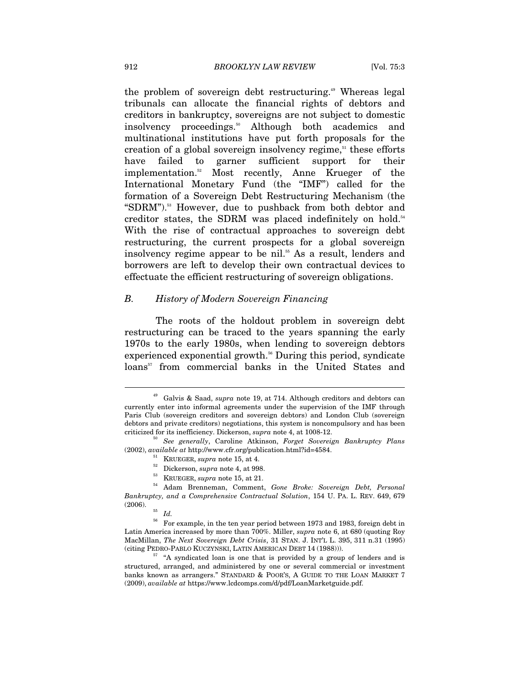the problem of sovereign debt restructuring.<sup>49</sup> Whereas legal tribunals can allocate the financial rights of debtors and creditors in bankruptcy, sovereigns are not subject to domestic insolvency proceedings.<sup>50</sup> Although both academics and multinational institutions have put forth proposals for the creation of a global sovereign insolvency regime, $51$  these efforts have failed to garner sufficient support for their implementation.52 Most recently, Anne Krueger of the International Monetary Fund (the "IMF") called for the formation of a Sovereign Debt Restructuring Mechanism (the "SDRM").<sup>53</sup> However, due to pushback from both debtor and creditor states, the SDRM was placed indefinitely on hold.<sup>54</sup> With the rise of contractual approaches to sovereign debt restructuring, the current prospects for a global sovereign insolvency regime appear to be nil.<sup>55</sup> As a result, lenders and borrowers are left to develop their own contractual devices to effectuate the efficient restructuring of sovereign obligations.

## *B. History of Modern Sovereign Financing*

The roots of the holdout problem in sovereign debt restructuring can be traced to the years spanning the early 1970s to the early 1980s, when lending to sovereign debtors experienced exponential growth.<sup>56</sup> During this period, syndicate loans<sup>57</sup> from commercial banks in the United States and

- 
- 

<sup>49</sup> Galvis & Saad, *supra* note 19, at 714. Although creditors and debtors can currently enter into informal agreements under the supervision of the IMF through Paris Club (sovereign creditors and sovereign debtors) and London Club (sovereign debtors and private creditors) negotiations, this system is noncompulsory and has been criticized for its inefficiency. Dickerson, *supra* note 4, at 1008-12. 50 *See generally*, Caroline Atkinson, *Forget Sovereign Bankruptcy Plans*

<sup>% (2002),</sup> available at http://www.cfr.org/publication.html?id=4584.<br>  $\,$ <sup>51</sup> KRUEGER, *supra* note 15, at 4.<br>  $\,$ <sup>52</sup> Dickerson, *supra* note 4, at 998.<br>  $\,$ <sup>53</sup> KRUEGER, *supra* note 15, at 21.<br>  $\,$ <sup>54</sup> Adam Brennema

*Bankruptcy, and a Comprehensive Contractual Solution*, 154 U. PA. L. REV. 649, 679 (2006).  $55$  *Id.* 

 $^{56}\;$  For example, in the ten year period between 1973 and 1983, foreign debt in Latin America increased by more than 700%. Miller, *supra* note 6, at 680 (quoting Roy MacMillan, *The Next Sovereign Debt Crisis*, 31 STAN. J. INT'L L. 395, 311 n.31 (1995) (citing PEDRO-PABLO KUCZYNSKI, LATIN AMERICAN DEBT 14 (1988))).<br><sup>57</sup> "A syndicated loan is one that is provided by a group of lenders and is

structured, arranged, and administered by one or several commercial or investment banks known as arrangers." STANDARD & POOR'S, A GUIDE TO THE LOAN MARKET 7 (2009), *available at* https://www.lcdcomps.com/d/pdf/LoanMarketguide.pdf.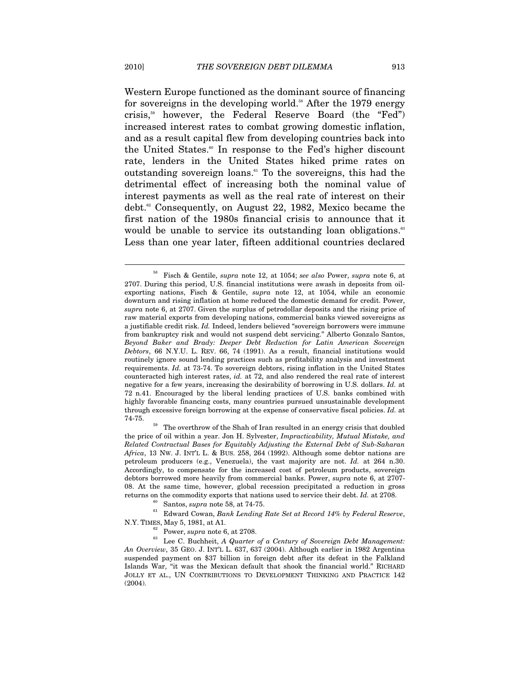Western Europe functioned as the dominant source of financing for sovereigns in the developing world.<sup>58</sup> After the 1979 energy crisis,59 however, the Federal Reserve Board (the "Fed") increased interest rates to combat growing domestic inflation, and as a result capital flew from developing countries back into the United States.<sup>60</sup> In response to the Fed's higher discount rate, lenders in the United States hiked prime rates on outstanding sovereign loans.61 To the sovereigns, this had the detrimental effect of increasing both the nominal value of interest payments as well as the real rate of interest on their debt.62 Consequently, on August 22, 1982, Mexico became the first nation of the 1980s financial crisis to announce that it would be unable to service its outstanding loan obligations.<sup>63</sup> Less than one year later, fifteen additional countries declared

<sup>58</sup> Fisch & Gentile, *supra* note 12, at 1054; *see also* Power, *supra* note 6, at 2707. During this period, U.S. financial institutions were awash in deposits from oilexporting nations, Fisch & Gentile, *supra* note 12, at 1054, while an economic downturn and rising inflation at home reduced the domestic demand for credit. Power, *supra* note 6, at 2707. Given the surplus of petrodollar deposits and the rising price of raw material exports from developing nations, commercial banks viewed sovereigns as a justifiable credit risk. *Id.* Indeed, lenders believed "sovereign borrowers were immune from bankruptcy risk and would not suspend debt servicing." Alberto Gonzalo Santos, *Beyond Baker and Brady: Deeper Debt Reduction for Latin American Sovereign Debtors*, 66 N.Y.U. L. REV. 66, 74 (1991). As a result, financial institutions would routinely ignore sound lending practices such as profitability analysis and investment requirements. *Id.* at 73-74. To sovereign debtors, rising inflation in the United States counteracted high interest rates, *id.* at 72, and also rendered the real rate of interest negative for a few years, increasing the desirability of borrowing in U.S. dollars. *Id.* at 72 n.41. Encouraged by the liberal lending practices of U.S. banks combined with highly favorable financing costs, many countries pursued unsustainable development through excessive foreign borrowing at the expense of conservative fiscal policies. *Id.* at 74-75. 59 The overthrow of the Shah of Iran resulted in an energy crisis that doubled

the price of oil within a year. Jon H. Sylvester, *Impracticability, Mutual Mistake, and Related Contractual Bases for Equitably Adjusting the External Debt of Sub-Saharan Africa*, 13 NW. J. INT'L L. & BUS. 258, 264 (1992). Although some debtor nations are petroleum producers (e.g., Venezuela), the vast majority are not. *Id.* at 264 n.30. Accordingly, to compensate for the increased cost of petroleum products, sovereign debtors borrowed more heavily from commercial banks. Power, *supra* note 6, at 2707- 08. At the same time, however, global recession precipitated a reduction in gross

returns on the commodity exports that nations used to service their debt. *Id.* at 2708.<br><sup>60</sup> Santos, *supra* note 58, at 74-75.<br>Edward Cowan, *Bank Lending Rate Set at Record 14% by Federal Reserve*,<br>N.Y. TIMES, May 5, 19

<sup>&</sup>lt;sup>62</sup> Power, *supra* note 6, at 2708.<br><sup>63</sup> Lee C. Buchheit, *A Quarter of a Century of Sovereign Debt Management: An Overview*, 35 GEO. J. INT'L L. 637, 637 (2004). Although earlier in 1982 Argentina suspended payment on \$37 billion in foreign debt after its defeat in the Falkland Islands War, "it was the Mexican default that shook the financial world." RICHARD JOLLY ET AL., UN CONTRIBUTIONS TO DEVELOPMENT THINKING AND PRACTICE 142 (2004).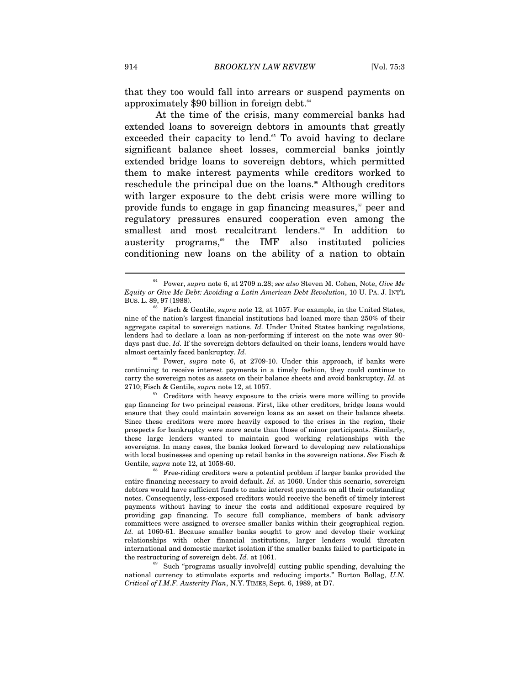that they too would fall into arrears or suspend payments on approximately  $$90$  billion in foreign debt.<sup>64</sup>

At the time of the crisis, many commercial banks had extended loans to sovereign debtors in amounts that greatly exceeded their capacity to lend.<sup>65</sup> To avoid having to declare significant balance sheet losses, commercial banks jointly extended bridge loans to sovereign debtors, which permitted them to make interest payments while creditors worked to reschedule the principal due on the loans.<sup>66</sup> Although creditors with larger exposure to the debt crisis were more willing to provide funds to engage in gap financing measures, $\epsilon$ <sup>*m*</sup> peer and regulatory pressures ensured cooperation even among the smallest and most recalcitrant lenders.<sup>68</sup> In addition to austerity programs,<sup>69</sup> the IMF also instituted policies conditioning new loans on the ability of a nation to obtain

66 Power, *supra* note 6, at 2709-10. Under this approach, if banks were continuing to receive interest payments in a timely fashion, they could continue to carry the sovereign notes as assets on their balance sheets and avoid bankruptcy. *Id.* at 2710; Fisch & Gentile, *supra* note 12, at 1057.

<sup>67</sup> Creditors with heavy exposure to the crisis were more willing to provide gap financing for two principal reasons. First, like other creditors, bridge loans would ensure that they could maintain sovereign loans as an asset on their balance sheets. Since these creditors were more heavily exposed to the crises in the region, their prospects for bankruptcy were more acute than those of minor participants. Similarly, these large lenders wanted to maintain good working relationships with the sovereigns. In many cases, the banks looked forward to developing new relationships with local businesses and opening up retail banks in the sovereign nations. *See* Fisch & Gentile, *supra* note 12, at 1058-60.<br><sup>68</sup> Free-riding creditors were a potential problem if larger banks provided the

<sup>64</sup> Power, *supra* note 6, at 2709 n.28; *see also* Steven M. Cohen, Note, *Give Me Equity or Give Me Debt: Avoiding a Latin American Debt Revolution*, 10 U. PA. J. INT'L

 $^{65}$  Fisch & Gentile, *supra* note 12, at 1057. For example, in the United States, nine of the nation's largest financial institutions had loaned more than 250% of their aggregate capital to sovereign nations. *Id.* Under United States banking regulations, lenders had to declare a loan as non-performing if interest on the note was over 90 days past due. *Id.* If the sovereign debtors defaulted on their loans, lenders would have almost certainly faced bankruptcy. *Id.* 

entire financing necessary to avoid default. *Id.* at 1060. Under this scenario, sovereign debtors would have sufficient funds to make interest payments on all their outstanding notes. Consequently, less-exposed creditors would receive the benefit of timely interest payments without having to incur the costs and additional exposure required by providing gap financing. To secure full compliance, members of bank advisory committees were assigned to oversee smaller banks within their geographical region. *Id.* at 1060-61. Because smaller banks sought to grow and develop their working relationships with other financial institutions, larger lenders would threaten international and domestic market isolation if the smaller banks failed to participate in the restructuring of sovereign debt. *Id.* at 1061.<br><sup>69</sup> Such "programs usually involve[d] cutting public spending, devaluing the

national currency to stimulate exports and reducing imports." Burton Bollag, *U.N. Critical of I.M.F. Austerity Plan*, N.Y. TIMES, Sept. 6, 1989, at D7.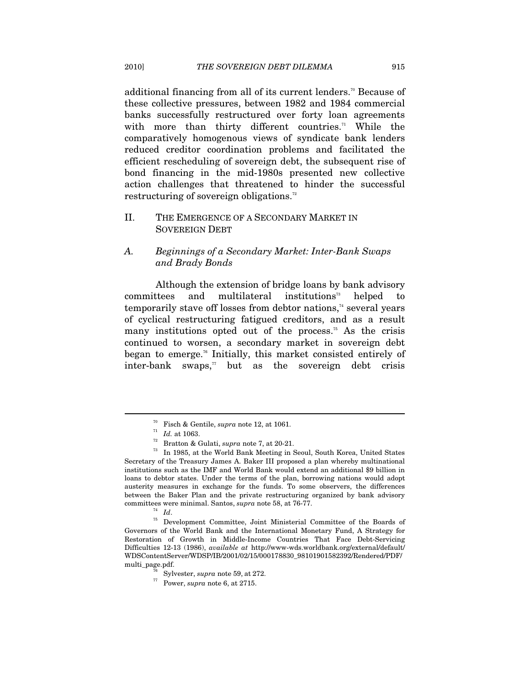additional financing from all of its current lenders.<sup>70</sup> Because of these collective pressures, between 1982 and 1984 commercial banks successfully restructured over forty loan agreements with more than thirty different countries.<sup> $1$ </sup> While the comparatively homogenous views of syndicate bank lenders reduced creditor coordination problems and facilitated the efficient rescheduling of sovereign debt, the subsequent rise of bond financing in the mid-1980s presented new collective action challenges that threatened to hinder the successful restructuring of sovereign obligations.<sup>72</sup>

# II. THE EMERGENCE OF A SECONDARY MARKET IN SOVEREIGN DEBT

# *A. Beginnings of a Secondary Market: Inter-Bank Swaps and Brady Bonds*

Although the extension of bridge loans by bank advisory committees and multilateral institutions<sup> $73$ </sup> helped to temporarily stave off losses from debtor nations,<sup> $74$ </sup> several years of cyclical restructuring fatigued creditors, and as a result many institutions opted out of the process.<sup>75</sup> As the crisis continued to worsen, a secondary market in sovereign debt began to emerge.76 Initially, this market consisted entirely of inter-bank swaps, $\pi$  but as the sovereign debt crisis

<sup>&</sup>lt;sup>70</sup> Fisch & Gentile, *supra* note 12, at 1061.<br><sup>71</sup> *Id.* at 1063.<br><sup>72</sup> Bratton & Gulati, *supra* note 7, at 20-21.<br><sup>73</sup> In 1985, at the World Bank Meeting in Seoul, South Korea, United States Secretary of the Treasury James A. Baker III proposed a plan whereby multinational institutions such as the IMF and World Bank would extend an additional \$9 billion in loans to debtor states. Under the terms of the plan, borrowing nations would adopt austerity measures in exchange for the funds. To some observers, the differences between the Baker Plan and the private restructuring organized by bank advisory committees were minimal. Santos, *supra* note 58, at 76-77.<br> $I_d$ 

<sup>75</sup> Development Committee, Joint Ministerial Committee of the Boards of Governors of the World Bank and the International Monetary Fund, A Strategy for Restoration of Growth in Middle-Income Countries That Face Debt-Servicing Difficulties 12-13 (1986), *available at* http://www-wds.worldbank.org/external/default/ WDSContentServer/WDSP/IB/2001/02/15/000178830\_98101901582392/Rendered/PDF/

<sup>&</sup>lt;sup>76</sup> Sylvester, *supra* note 59, at 272.<br><sup>77</sup> Power, *supra* note 6, at 2715.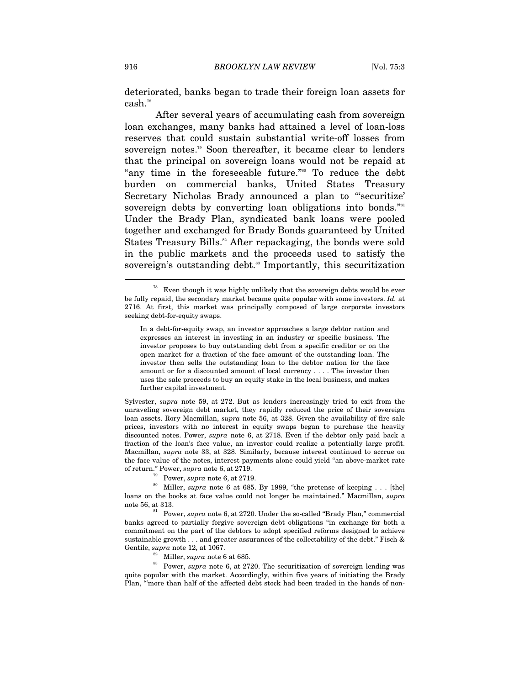deteriorated, banks began to trade their foreign loan assets for cash.78

After several years of accumulating cash from sovereign loan exchanges, many banks had attained a level of loan-loss reserves that could sustain substantial write-off losses from sovereign notes.<sup>79</sup> Soon thereafter, it became clear to lenders that the principal on sovereign loans would not be repaid at "any time in the foreseeable future."80 To reduce the debt burden on commercial banks, United States Treasury Secretary Nicholas Brady announced a plan to "'securitize' sovereign debts by converting loan obligations into bonds."<sup>81</sup> Under the Brady Plan, syndicated bank loans were pooled together and exchanged for Brady Bonds guaranteed by United States Treasury Bills.<sup>82</sup> After repackaging, the bonds were sold in the public markets and the proceeds used to satisfy the sovereign's outstanding debt.<sup>83</sup> Importantly, this securitization

In a debt-for-equity swap, an investor approaches a large debtor nation and expresses an interest in investing in an industry or specific business. The investor proposes to buy outstanding debt from a specific creditor or on the open market for a fraction of the face amount of the outstanding loan. The investor then sells the outstanding loan to the debtor nation for the face amount or for a discounted amount of local currency . . . . The investor then uses the sale proceeds to buy an equity stake in the local business, and makes further capital investment.

Sylvester, *supra* note 59, at 272. But as lenders increasingly tried to exit from the unraveling sovereign debt market, they rapidly reduced the price of their sovereign loan assets. Rory Macmillan, *supra* note 56, at 328. Given the availability of fire sale prices, investors with no interest in equity swaps began to purchase the heavily discounted notes. Power, *supra* note 6, at 2718. Even if the debtor only paid back a fraction of the loan's face value, an investor could realize a potentially large profit. Macmillan, *supra* note 33, at 328. Similarly, because interest continued to accrue on the face value of the notes, interest payments alone could yield "an above-market rate

% of return." Power, *supra* note 6, at 2719.<br><sup>79</sup> Power, *supra* note 6, at 2719.<br><sup>80</sup> Miller, *supra* note 6 at 685. By 1989, "the pretense of keeping . . . [the] loans on the books at face value could not longer be maintained." Macmillan, *supra*  note 56, at 313. 81 Power, *supra* note 6, at 2720. Under the so-called "Brady Plan," commercial

banks agreed to partially forgive sovereign debt obligations "in exchange for both a commitment on the part of the debtors to adopt specified reforms designed to achieve sustainable growth . . . and greater assurances of the collectability of the debt." Fisch &

Gentile, *supra* note 12, at 1067.<br><sup>82</sup> Miller, *supra* note 6 at 685.<br><sup>83</sup> Power, *supra* note 6, at 2720. The securitization of sovereign lending was quite popular with the market. Accordingly, within five years of initiating the Brady Plan, "'more than half of the affected debt stock had been traded in the hands of non-

 $78$  Even though it was highly unlikely that the sovereign debts would be ever be fully repaid, the secondary market became quite popular with some investors. *Id.* at 2716. At first, this market was principally composed of large corporate investors seeking debt-for-equity swaps.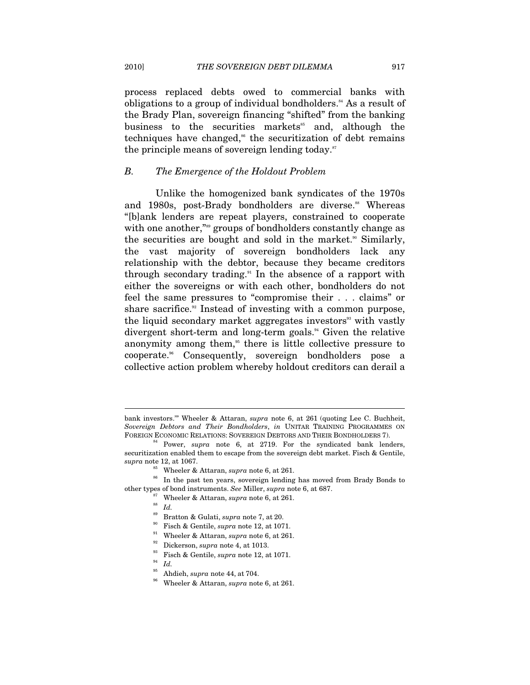2010] *THE SOVEREIGN DEBT DILEMMA* 917

process replaced debts owed to commercial banks with obligations to a group of individual bondholders.<sup>84</sup> As a result of the Brady Plan, sovereign financing "shifted" from the banking business to the securities markets<sup> $55$ </sup> and, although the techniques have changed, $66$  the securitization of debt remains the principle means of sovereign lending today.<sup>87</sup>

#### *B. The Emergence of the Holdout Problem*

Unlike the homogenized bank syndicates of the 1970s and 1980s, post-Brady bondholders are diverse.<sup>88</sup> Whereas "[b]ank lenders are repeat players, constrained to cooperate with one another,"<sup>88</sup> groups of bondholders constantly change as the securities are bought and sold in the market.<sup>90</sup> Similarly, the vast majority of sovereign bondholders lack any relationship with the debtor, because they became creditors through secondary trading.<sup>91</sup> In the absence of a rapport with either the sovereigns or with each other, bondholders do not feel the same pressures to "compromise their . . . claims" or share sacrifice.<sup>92</sup> Instead of investing with a common purpose, the liquid secondary market aggregates investors<sup>33</sup> with vastly divergent short-term and long-term goals.<sup>94</sup> Given the relative anonymity among them,<sup>95</sup> there is little collective pressure to cooperate.96 Consequently, sovereign bondholders pose a collective action problem whereby holdout creditors can derail a

- 
- <sup>89</sup> Bratton & Gulati, *supra* note 7, at 20.<br>
<sup>90</sup> Fisch & Gentile, *supra* note 12, at 1071.<br>
<sup>91</sup> Wheeler & Attaran, *supra* note 6, at 261.<br>
<sup>92</sup> Dickerson, *supra* note 4, at 1013.<br>
<sup>93</sup> Fisch & Gentile, *supra* note
- 
- 

bank investors.'" Wheeler & Attaran, *supra* note 6, at 261 (quoting Lee C. Buchheit, *Sovereign Debtors and Their Bondholders*, *in* UNITAR TRAINING PROGRAMMES ON FOREIGN ECONOMIC RELATIONS: SOVEREIGN DEBTORS AND THEIR BONDHOLDERS 7).

<sup>84</sup> Power, *supra* note 6, at 2719. For the syndicated bank lenders, securitization enabled them to escape from the sovereign debt market. Fisch & Gentile,

*supra* note 12, at 1067.<br><sup>85</sup> Wheeler & Attaran, *supra* note 6, at 261.<br><sup>86</sup> In the past ten years, sovereign lending has moved from Brady Bonds to other types of bond instruments. *See* Miller, *supra* note 6, at 687.<br><sup>87</sup> Wheeler & Attaran, *supra* note 6, at 261.<br><sup>88</sup> *Id.* <sup>8</sup> Dutter & Culati supported 7, at 20.

<sup>95</sup> Ahdieh, *supra* note 44, at 704. 96 Wheeler & Attaran, *supra* note 6, at 261.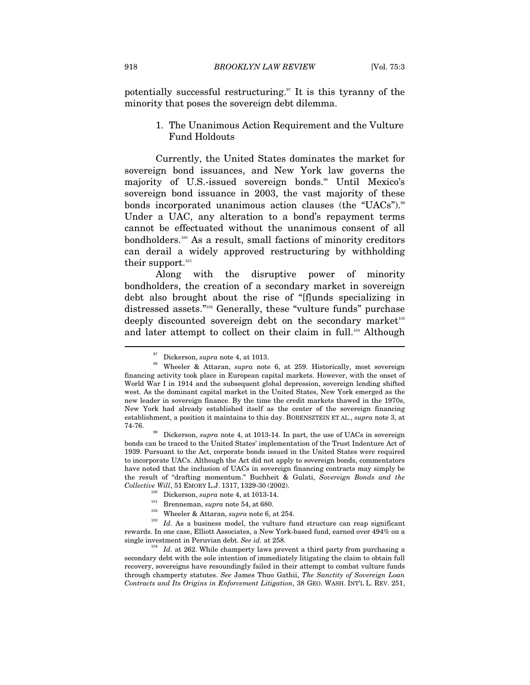potentially successful restructuring.<sup>97</sup> It is this tyranny of the minority that poses the sovereign debt dilemma.

## 1. The Unanimous Action Requirement and the Vulture Fund Holdouts

Currently, the United States dominates the market for sovereign bond issuances, and New York law governs the majority of U.S.-issued sovereign bonds.<sup>98</sup> Until Mexico's sovereign bond issuance in 2003, the vast majority of these bonds incorporated unanimous action clauses (the "UACs").<sup>99</sup> Under a UAC, any alteration to a bond's repayment terms cannot be effectuated without the unanimous consent of all bondholders.100 As a result, small factions of minority creditors can derail a widely approved restructuring by withholding their support. $^{\scriptscriptstyle 101}$ 

Along with the disruptive power of minority bondholders, the creation of a secondary market in sovereign debt also brought about the rise of "[f]unds specializing in distressed assets."102 Generally, these "vulture funds" purchase deeply discounted sovereign debt on the secondary market $103$ and later attempt to collect on their claim in full.<sup>104</sup> Although

<sup>&</sup>lt;sup>97</sup> Dickerson, *supra* note 4, at 1013.<br><sup>98</sup> Wheeler & Attaran, *supra* note 6, at 259. Historically, most sovereign financing activity took place in European capital markets. However, with the onset of World War I in 1914 and the subsequent global depression, sovereign lending shifted west. As the dominant capital market in the United States, New York emerged as the new leader in sovereign finance. By the time the credit markets thawed in the 1970s, New York had already established itself as the center of the sovereign financing establishment, a position it maintains to this day. BORENSZTEIN ET AL., *supra* note 3, at 74-76. 99 Dickerson, *supra* note 4, at 1013-14. In part, the use of UACs in sovereign

bonds can be traced to the United States' implementation of the Trust Indenture Act of 1939. Pursuant to the Act, corporate bonds issued in the United States were required to incorporate UACs. Although the Act did not apply to sovereign bonds, commentators have noted that the inclusion of UACs in sovereign financing contracts may simply be the result of "drafting momentum." Buchheit & Gulati, *Sovereign Bonds and the* 

Collective Will, 51 EMORY L.J. 1317, 1329-30 (2002).<br>
<sup>100</sup> Dickerson, *supra* note 4, at 1013-14.<br>
<sup>101</sup> Brenneman, *supra* note 54, at 680.<br>
<sup>102</sup> Wheeler & Attaran, *supra* note 6, at 254.<br>
<sup>103</sup> *Id.* As a business mo rewards. In one case, Elliott Associates, a New York-based fund, earned over 494% on a single investment in Peruvian debt. *See id.* at 258.<br><sup>104</sup> *Id.* at 262. While champerty laws prevent a third party from purchasing a

secondary debt with the sole intention of immediately litigating the claim to obtain full recovery, sovereigns have resoundingly failed in their attempt to combat vulture funds through champerty statutes. *See* James Thuo Gathii, *The Sanctity of Sovereign Loan Contracts and Its Origins in Enforcement Litigation*, 38 GEO. WASH. INT'L L. REV. 251,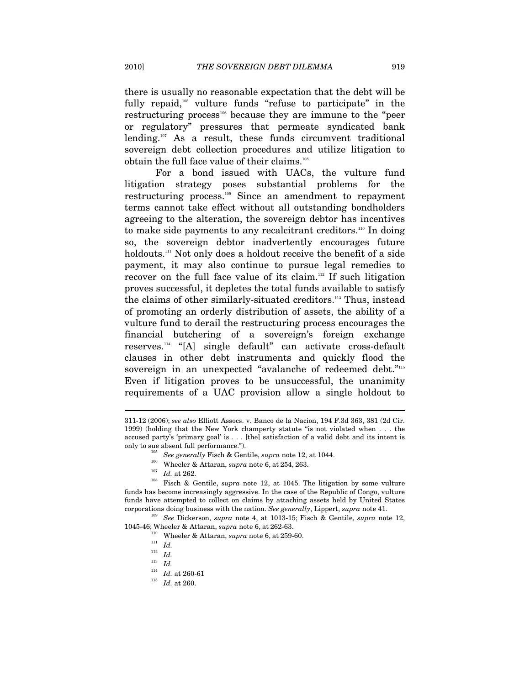there is usually no reasonable expectation that the debt will be fully repaid,<sup>105</sup> vulture funds "refuse to participate" in the restructuring process<sup>106</sup> because they are immune to the "peer or regulatory" pressures that permeate syndicated bank lending.<sup>107</sup> As a result, these funds circumvent traditional sovereign debt collection procedures and utilize litigation to obtain the full face value of their claims.<sup>108</sup>

For a bond issued with UACs, the vulture fund litigation strategy poses substantial problems for the restructuring process.109 Since an amendment to repayment terms cannot take effect without all outstanding bondholders agreeing to the alteration, the sovereign debtor has incentives to make side payments to any recalcitrant creditors.<sup>110</sup> In doing so, the sovereign debtor inadvertently encourages future holdouts.<sup>111</sup> Not only does a holdout receive the benefit of a side payment, it may also continue to pursue legal remedies to recover on the full face value of its claim. $112$  If such litigation proves successful, it depletes the total funds available to satisfy the claims of other similarly-situated creditors.<sup>113</sup> Thus, instead of promoting an orderly distribution of assets, the ability of a vulture fund to derail the restructuring process encourages the financial butchering of a sovereign's foreign exchange reserves.114 "[A] single default" can activate cross-default clauses in other debt instruments and quickly flood the sovereign in an unexpected "avalanche of redeemed debt."115 Even if litigation proves to be unsuccessful, the unanimity requirements of a UAC provision allow a single holdout to

- 
- 

<sup>311-12</sup> (2006); *see also* Elliott Assocs. v. Banco de la Nacion, 194 F.3d 363, 381 (2d Cir. 1999) (holding that the New York champerty statute "is not violated when . . . the accused party's 'primary goal' is . . . [the] satisfaction of a valid debt and its intent is % only to sue absent full performance.").<br>
See generally Fisch & Gentile, *supra* note 12, at 1044.<br>
Wheeler & Attaran, *supra* note 6, at 254, 263.<br>
<sup>107</sup> *Id.* at 262.<br>
<sup>108</sup> Fisch & Gentile, *supra* note 12, at 1045. T

funds has become increasingly aggressive. In the case of the Republic of Congo, vulture funds have attempted to collect on claims by attaching assets held by United States corporations doing business with the nation. *See generally*, Lippert, *supra* note 41. 109 *See* Dickerson, *supra* note 4, at 1013-15; Fisch & Gentile, *supra* note 12,

<sup>1045-46;</sup> Wheeler & Attaran, *supra* note 6, at 262-63.<br><sup>110</sup> Wheeler & Attaran, *supra* note 6, at 259-60.<br><sup>111</sup> *Id.* 

 $112$  *Id.* 

 $^{113} \;\; Id.$ 

<sup>114</sup> *Id.* at 260-61 115 *Id.* at 260.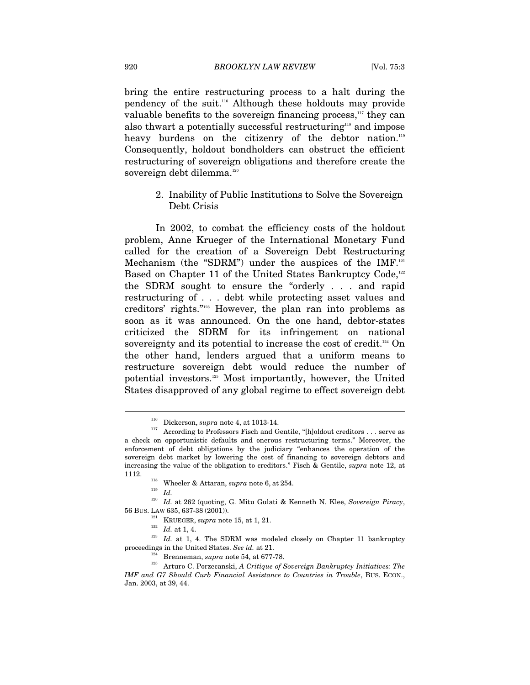bring the entire restructuring process to a halt during the pendency of the suit.116 Although these holdouts may provide valuable benefits to the sovereign financing process, $117$  they can also thwart a potentially successful restructuring<sup>118</sup> and impose heavy burdens on the citizenry of the debtor nation.<sup>119</sup> Consequently, holdout bondholders can obstruct the efficient restructuring of sovereign obligations and therefore create the sovereign debt dilemma.<sup>120</sup>

# 2. Inability of Public Institutions to Solve the Sovereign Debt Crisis

In 2002, to combat the efficiency costs of the holdout problem, Anne Krueger of the International Monetary Fund called for the creation of a Sovereign Debt Restructuring Mechanism (the "SDRM") under the auspices of the IMF.<sup>121</sup> Based on Chapter 11 of the United States Bankruptcy Code,<sup>122</sup> the SDRM sought to ensure the "orderly . . . and rapid restructuring of . . . debt while protecting asset values and creditors' rights."123 However, the plan ran into problems as soon as it was announced. On the one hand, debtor-states criticized the SDRM for its infringement on national sovereignty and its potential to increase the cost of credit.<sup>124</sup> On the other hand, lenders argued that a uniform means to restructure sovereign debt would reduce the number of potential investors.125 Most importantly, however, the United States disapproved of any global regime to effect sovereign debt

<sup>&</sup>lt;sup>116</sup> Dickerson, *supra* note 4, at 1013-14.<br><sup>117</sup> According to Professors Fisch and Gentile, "[h]oldout creditors . . . serve as a check on opportunistic defaults and onerous restructuring terms." Moreover, the enforcement of debt obligations by the judiciary "enhances the operation of the sovereign debt market by lowering the cost of financing to sovereign debtors and increasing the value of the obligation to creditors." Fisch & Gentile, *supra* note 12, at 1112. <sup>118</sup> Wheeler & Attaran, *supra* note 6, at 254.

<sup>120</sup> *Id.* at 262 (quoting, G. Mitu Gulati & Kenneth N. Klee, *Sovereign Piracy*,

<sup>56</sup> BUS. LAW 635, 637-38 (2001)).<br>
<sup>121</sup> KRUEGER, *supra* note 15, at 1, 21.<br>
<sup>122</sup> *Id.* at 1, 4. The SDRM was modeled closely on Chapter 11 bankruptcy<br>
<sup>123</sup> *Id.* at 1, 4. The SDRM was modeled closely on Chapter 11 bank proceedings in the United States. *See id.* at 21.<br><sup>124</sup> Brenneman, *supra* note 54, at 677-78.<br><sup>125</sup> Arturo C. Porzecanski, *A Critique of Sovereign Bankruptcy Initiatives: The* 

*IMF and G7 Should Curb Financial Assistance to Countries in Trouble*, BUS. ECON., Jan. 2003, at 39, 44.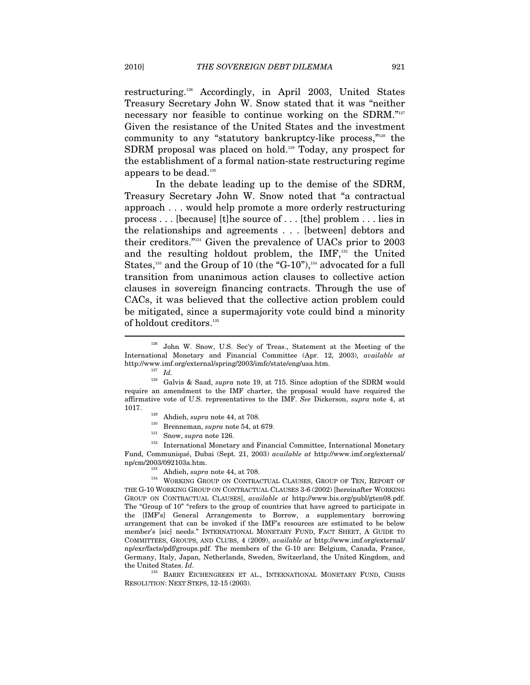restructuring.126 Accordingly, in April 2003, United States Treasury Secretary John W. Snow stated that it was "neither necessary nor feasible to continue working on the SDRM."127 Given the resistance of the United States and the investment community to any "statutory bankruptcy-like process,"<sup>128</sup> the SDRM proposal was placed on hold.129 Today, any prospect for the establishment of a formal nation-state restructuring regime appears to be dead.<sup>130</sup>

In the debate leading up to the demise of the SDRM, Treasury Secretary John W. Snow noted that "a contractual approach . . . would help promote a more orderly restructuring process . . . [because] [t]he source of . . . [the] problem . . . lies in the relationships and agreements . . . [between] debtors and their creditors."131 Given the prevalence of UACs prior to 2003 and the resulting holdout problem, the IMF,<sup>332</sup> the United States,<sup>133</sup> and the Group of 10 (the "G-10"),<sup>134</sup> advocated for a full transition from unanimous action clauses to collective action clauses in sovereign financing contracts. Through the use of CACs, it was believed that the collective action problem could be mitigated, since a supermajority vote could bind a minority of holdout creditors.<sup>135</sup>  $\overline{a}$ 

- 
- 

1017.<br><sup>129</sup> Ahdieh, *supra* note 44, at 708.<br>Brenneman, *supra* note 54, at 679.<br><sup>131</sup> Snow, *supra* note 126.<br>International Monetary and Financial Committee, International Monetary Fund, Communiqué, Dubai (Sept. 21, 2003) *available at* http://www.imf.org/external/

<sup>126</sup> John W. Snow, U.S. Sec'y of Treas., Statement at the Meeting of the International Monetary and Financial Committee (Apr. 12, 2003), *available at* http://www.imf.org/external/spring/2003/imfc/state/eng/usa.htm. 127 *Id.*

<sup>128</sup> Galvis & Saad, *supra* note 19, at 715. Since adoption of the SDRM would require an amendment to the IMF charter, the proposal would have required the affirmative vote of U.S. representatives to the IMF. *See* Dickerson, *supra* note 4, at

np/cm/2003/092103a.htm. 133 Ahdieh, *supra* note 44, at 708. 134 WORKING GROUP ON CONTRACTUAL CLAUSES, GROUP OF TEN, REPORT OF THE G-10 WORKING GROUP ON CONTRACTUAL CLAUSES 3-6 (2002) [hereinafter WORKING GROUP ON CONTRACTUAL CLAUSES], *available at* http://www.bis.org/publ/gten08.pdf. The "Group of 10" "refers to the group of countries that have agreed to participate in the [IMF's] General Arrangements to Borrow, a supplementary borrowing arrangement that can be invoked if the IMF's resources are estimated to be below member's [sic] needs." INTERNATIONAL MONETARY FUND, FACT SHEET, A GUIDE TO COMMITTEES, GROUPS, AND CLUBS, 4 (2009), *available at* http://www.imf.org/external/ np/exr/facts/pdf/groups.pdf. The members of the G-10 are: Belgium, Canada, France, Germany, Italy, Japan, Netherlands, Sweden, Switzerland, the United Kingdom, and

the United States. *Id*. **135** BARRY EICHENGREEN ET AL., INTERNATIONAL MONETARY FUND, CRISIS RESOLUTION: NEXT STEPS, 12-15 (2003).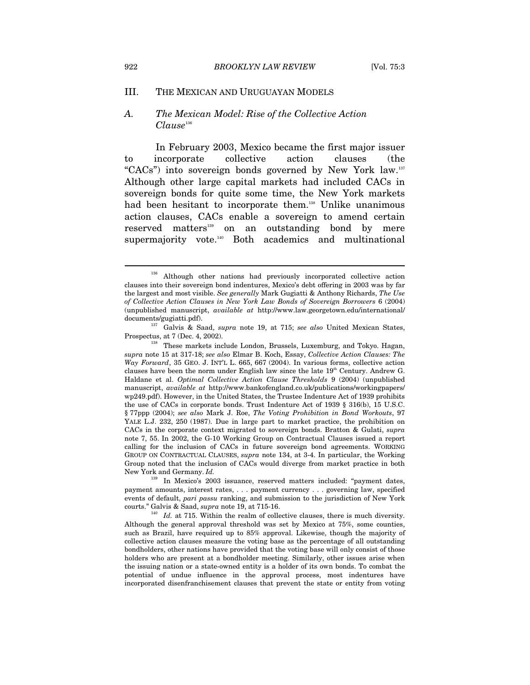## III. THE MEXICAN AND URUGUAYAN MODELS

#### *A. The Mexican Model: Rise of the Collective Action*   $Clause<sup>136</sup>$

In February 2003, Mexico became the first major issuer to incorporate collective action clauses (the "CACs") into sovereign bonds governed by New York law.137 Although other large capital markets had included CACs in sovereign bonds for quite some time, the New York markets had been hesitant to incorporate them.<sup>138</sup> Unlike unanimous action clauses, CACs enable a sovereign to amend certain reserved matters<sup>139</sup> on an outstanding bond by mere supermajority vote.<sup>140</sup> Both academics and multinational

<sup>139</sup> In Mexico's 2003 issuance, reserved matters included: "payment dates, payment amounts, interest rates, . . . payment currency . . . governing law, specified events of default, *pari passu* ranking, and submission to the jurisdiction of New York courts." Galvis & Saad, *supra* note 19, at 715-16.<br><sup>140</sup> *Id.* at 715. Within the realm of collective clauses, there is much diversity.

Although the general approval threshold was set by Mexico at 75%, some counties, such as Brazil, have required up to 85% approval. Likewise, though the majority of collective action clauses measure the voting base as the percentage of all outstanding bondholders, other nations have provided that the voting base will only consist of those holders who are present at a bondholder meeting. Similarly, other issues arise when the issuing nation or a state-owned entity is a holder of its own bonds. To combat the potential of undue influence in the approval process, most indentures have incorporated disenfranchisement clauses that prevent the state or entity from voting

Although other nations had previously incorporated collective action clauses into their sovereign bond indentures, Mexico's debt offering in 2003 was by far the largest and most visible. *See generally* Mark Gugiatti & Anthony Richards, *The Use of Collective Action Clauses in New York Law Bonds of Sovereign Borrowers* 6 (2004) (unpublished manuscript, *available at* http://www.law.georgetown.edu/international/

documents/gugiatti.pdf).<br><sup>137</sup> Galvis & Saad, *supra* note 19, at 715; *see also* United Mexican States,<br>Prospectus, at 7 (Dec. 4, 2002).

 $P<sup>138</sup>$  These markets include London, Brussels, Luxemburg, and Tokyo. Hagan, *supra* note 15 at 317-18; *see also* Elmar B. Koch, Essay, *Collective Action Clauses: The Way Forward*, 35 GEO. J. INT'L L. 665, 667 (2004). In various forms, collective action clauses have been the norm under English law since the late  $19<sup>th</sup>$  Century. Andrew G. Haldane et al. *Optimal Collective Action Clause Thresholds* 9 (2004) (unpublished manuscript, *available at* http://www.bankofengland.co.uk/publications/workingpapers/ wp249.pdf). However, in the United States, the Trustee Indenture Act of 1939 prohibits the use of CACs in corporate bonds. Trust Indenture Act of 1939 § 316(b), 15 U.S.C. § 77ppp (2004); *see also* Mark J. Roe, *The Voting Prohibition in Bond Workouts*, 97 YALE L.J. 232, 250 (1987). Due in large part to market practice, the prohibition on CACs in the corporate context migrated to sovereign bonds. Bratton & Gulati, *supra*  note 7, 55. In 2002, the G-10 Working Group on Contractual Clauses issued a report calling for the inclusion of CACs in future sovereign bond agreements. WORKING GROUP ON CONTRACTUAL CLAUSES, *supra* note 134, at 3-4. In particular, the Working Group noted that the inclusion of CACs would diverge from market practice in both New York and Germany. *Id.*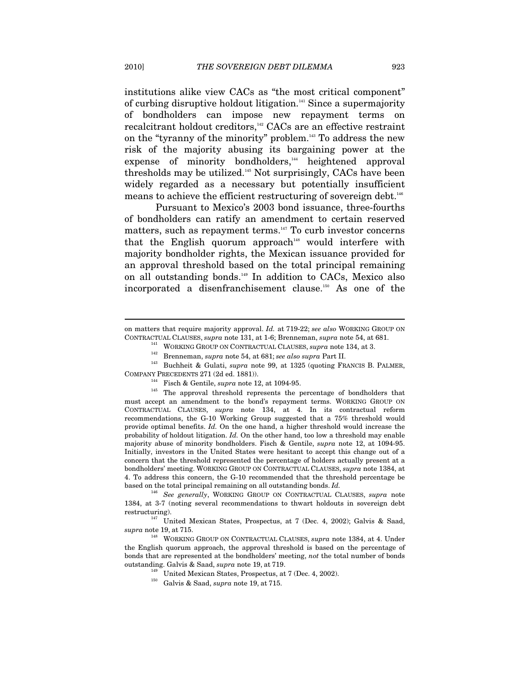institutions alike view CACs as "the most critical component" of curbing disruptive holdout litigation.141 Since a supermajority of bondholders can impose new repayment terms on recalcitrant holdout creditors,<sup>142</sup> CACs are an effective restraint on the "tyranny of the minority" problem.<sup>143</sup> To address the new risk of the majority abusing its bargaining power at the expense of minority bondholders,<sup>144</sup> heightened approval thresholds may be utilized.145 Not surprisingly, CACs have been widely regarded as a necessary but potentially insufficient means to achieve the efficient restructuring of sovereign debt.<sup>146</sup>

Pursuant to Mexico's 2003 bond issuance, three-fourths of bondholders can ratify an amendment to certain reserved matters, such as repayment terms.<sup>147</sup> To curb investor concerns that the English quorum approach<sup>148</sup> would interfere with majority bondholder rights, the Mexican issuance provided for an approval threshold based on the total principal remaining on all outstanding bonds.149 In addition to CACs, Mexico also incorporated a disenfranchisement clause.150 As one of the

- 
- 

CONTRACTUAL CLAUSES, *supra* note 131, at 1-6; Brenneman, *supra* note 54, at 681.<br><sup>141</sup> WORKING GROUP ON CONTRACTUAL CLAUSES, *supra* note 134, at 3.<br><sup>142</sup> Brenneman, *supra* note 54, at 681; *see also supra* Part II.<br><sup>1</sup>

COMPANY PRECEDENTS 271 (2d ed. 1881)). 144 Fisch & Gentile, *supra* note 12, at 1094-95. 145 The approval threshold represents the percentage of bondholders that must accept an amendment to the bond's repayment terms. WORKING GROUP ON CONTRACTUAL CLAUSES, *supra* note 134, at 4. In its contractual reform recommendations, the G-10 Working Group suggested that a 75% threshold would provide optimal benefits. *Id.* On the one hand, a higher threshold would increase the probability of holdout litigation. *Id.* On the other hand, too low a threshold may enable majority abuse of minority bondholders. Fisch & Gentile, *supra* note 12, at 1094-95. Initially, investors in the United States were hesitant to accept this change out of a concern that the threshold represented the percentage of holders actually present at a bondholders' meeting. WORKING GROUP ON CONTRACTUAL CLAUSES, *supra* note 1384, at 4. To address this concern, the G-10 recommended that the threshold percentage be based on the total principal remaining on all outstanding bonds. *Id.*

<sup>146</sup> *See generally*, WORKING GROUP ON CONTRACTUAL CLAUSES, *supra* note 1384, at 3-7 (noting several recommendations to thwart holdouts in sovereign debt

restructuring). 147 United Mexican States, Prospectus, at 7 (Dec. 4, 2002); Galvis & Saad,  $\emph{supra}$ note 19, at 715. <br>1<sup>48</sup> WORKING GROUP ON CONTRACTUAL CLAUSES, *supra* note 1384, at 4. Under

the English quorum approach, the approval threshold is based on the percentage of bonds that are represented at the bondholders' meeting, *not* the total number of bonds outstanding. Galvis & Saad, *supra* note 19, at 719. 149 United Mexican States, Prospectus, at 7 (Dec. 4, 2002). 150 Galvis & Saad, *supra* note 19, at 715.

- 
- 

on matters that require majority approval. *Id.* at 719-22; *see also* WORKING GROUP ON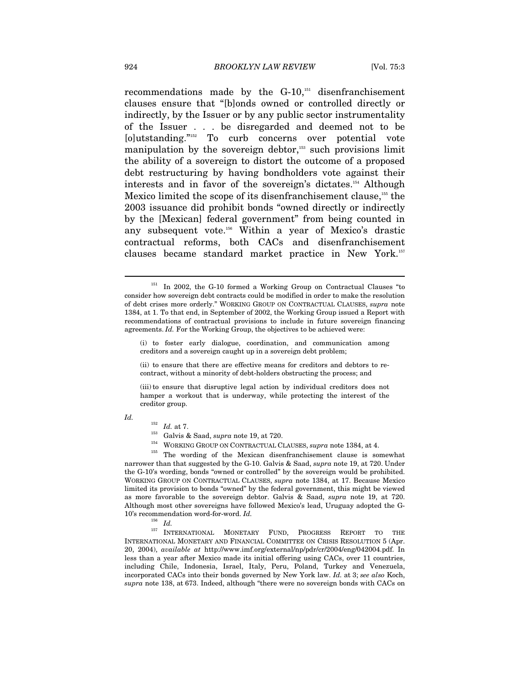recommendations made by the  $G-10$ ,<sup>151</sup> disenfranchisement clauses ensure that "[b]onds owned or controlled directly or indirectly, by the Issuer or by any public sector instrumentality of the Issuer . . . be disregarded and deemed not to be [o]utstanding."<sup>152</sup> To curb concerns over potential vote manipulation by the sovereign debtor,<sup>153</sup> such provisions limit the ability of a sovereign to distort the outcome of a proposed debt restructuring by having bondholders vote against their interests and in favor of the sovereign's dictates.154 Although Mexico limited the scope of its disenfranchisement clause,<sup>155</sup> the 2003 issuance did prohibit bonds "owned directly or indirectly by the [Mexican] federal government" from being counted in any subsequent vote.156 Within a year of Mexico's drastic contractual reforms, both CACs and disenfranchisement clauses became standard market practice in New York.157

(i) to foster early dialogue, coordination, and communication among creditors and a sovereign caught up in a sovereign debt problem;

(ii) to ensure that there are effective means for creditors and debtors to recontract, without a minority of debt-holders obstructing the process; and

(iii) to ensure that disruptive legal action by individual creditors does not hamper a workout that is underway, while protecting the interest of the creditor group.

*Id.* 

 $\overline{a}$ 

<sup>152</sup> *Id.* at 7.<br><sup>153</sup> Galvis & Saad, *supra* note 19, at 720.<br><sup>154</sup> WORKING GROUP ON CONTRACTUAL CLAUSES, *supra* note 1384, at 4.<br><sup>155</sup> The wording of the Mexican disenfranchisement clause is somewhat narrower than that suggested by the G-10. Galvis & Saad, *supra* note 19, at 720. Under the G-10's wording, bonds "owned or controlled" by the sovereign would be prohibited. WORKING GROUP ON CONTRACTUAL CLAUSES, *supra* note 1384, at 17. Because Mexico limited its provision to bonds "owned" by the federal government, this might be viewed as more favorable to the sovereign debtor. Galvis & Saad, *supra* note 19, at 720. Although most other sovereigns have followed Mexico's lead, Uruguay adopted the G-10's recommendation word-for-word. *Id.* 

 $\frac{156}{157}$  *Id.* 

157 INTERNATIONAL MONETARY FUND, PROGRESS REPORT TO THE INTERNATIONAL MONETARY AND FINANCIAL COMMITTEE ON CRISIS RESOLUTION 5 (Apr. 20, 2004), *available at* http://www.imf.org/external/np/pdr/cr/2004/eng/042004.pdf. In less than a year after Mexico made its initial offering using CACs, over 11 countries, including Chile, Indonesia, Israel, Italy, Peru, Poland, Turkey and Venezuela, incorporated CACs into their bonds governed by New York law. *Id.* at 3; *see also* Koch, *supra* note 138, at 673. Indeed, although "there were no sovereign bonds with CACs on

 $151$  In 2002, the G-10 formed a Working Group on Contractual Clauses "to consider how sovereign debt contracts could be modified in order to make the resolution of debt crises more orderly." WORKING GROUP ON CONTRACTUAL CLAUSES, *supra* note 1384, at 1. To that end, in September of 2002, the Working Group issued a Report with recommendations of contractual provisions to include in future sovereign financing agreements. *Id.* For the Working Group, the objectives to be achieved were: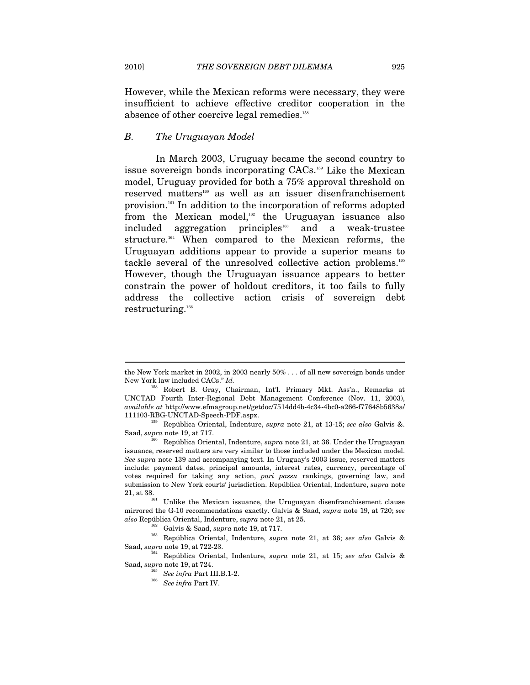However, while the Mexican reforms were necessary, they were insufficient to achieve effective creditor cooperation in the absence of other coercive legal remedies.<sup>158</sup>

#### *B. The Uruguayan Model*

In March 2003, Uruguay became the second country to issue sovereign bonds incorporating CACs.159 Like the Mexican model, Uruguay provided for both a 75% approval threshold on reserved matters<sup>160</sup> as well as an issuer disenfranchisement provision.161 In addition to the incorporation of reforms adopted from the Mexican model, $162$  the Uruguayan issuance also included aggregation principles<sup>163</sup> and a weak-trustee structure.<sup>164</sup> When compared to the Mexican reforms, the Uruguayan additions appear to provide a superior means to tackle several of the unresolved collective action problems.<sup>165</sup> However, though the Uruguayan issuance appears to better constrain the power of holdout creditors, it too fails to fully address the collective action crisis of sovereign debt restructuring.<sup>166</sup>

the New York market in 2002, in 2003 nearly 50% . . . of all new sovereign bonds under New York law included CACs." *Id.* 

<sup>158</sup> Robert B. Gray, Chairman, Int'l. Primary Mkt. Ass'n., Remarks at UNCTAD Fourth Inter-Regional Debt Management Conference (Nov. 11, 2003), *available at* http://www.efmagroup.net/getdoc/7514dd4b-4c34-4bc0-a266-f77648b5638a/

<sup>111103-</sup>RBG-UNCTAD-Speech-PDF.aspx. 159 República Oriental, Indenture, *supra* note 21, at 13-15; *see also* Galvis &.

Saad, *supra* note 19, at 717.<br><sup>160</sup> República Oriental, Indenture, *supra* note 21, at 36. Under the Uruguayan issuance, reserved matters are very similar to those included under the Mexican model. *See supra* note 139 and accompanying text. In Uruguay's 2003 issue, reserved matters include: payment dates, principal amounts, interest rates, currency, percentage of votes required for taking any action, *pari passu* rankings, governing law, and submission to New York courts' jurisdiction. República Oriental, Indenture, *supra* note 21, at 38.  $\frac{161}{161}$  Unlike the Mexican issuance, the Uruguayan disenfranchisement clause

mirrored the G-10 recommendations exactly. Galvis & Saad, *supra* note 19, at 720; *see* 

<sup>&</sup>lt;sup>162</sup> Galvis & Saad, *supra* note 19, at 717.<br><sup>163</sup> República Oriental, Indenture, *supra* note 21, at 36; *see also* Galvis & Saad, *supra* note 19, at 722-23.

<sup>&</sup>lt;sup>164</sup> República Oriental, Indenture, *supra* note 21, at 15; *see also* Galvis & Saad, *supra* note 19, at 724.

<sup>165</sup> *See infra* Part III.B.1-2. 166 *See infra* Part IV.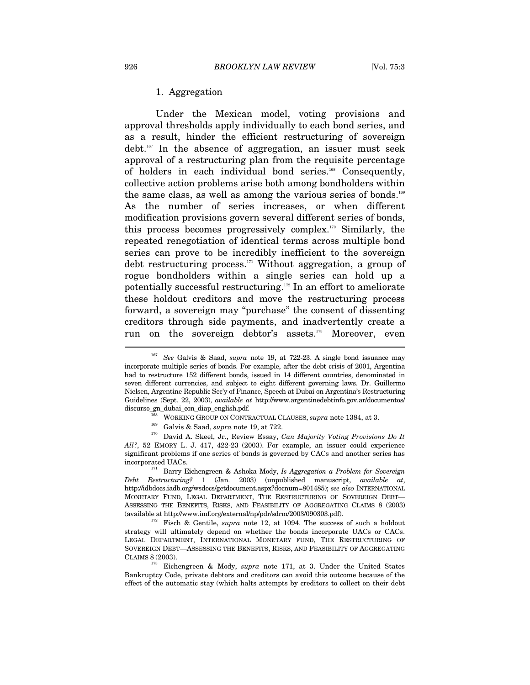#### 1. Aggregation

Under the Mexican model, voting provisions and approval thresholds apply individually to each bond series, and as a result, hinder the efficient restructuring of sovereign debt.167 In the absence of aggregation, an issuer must seek approval of a restructuring plan from the requisite percentage of holders in each individual bond series.<sup>168</sup> Consequently, collective action problems arise both among bondholders within the same class, as well as among the various series of bonds.<sup>169</sup> As the number of series increases, or when different modification provisions govern several different series of bonds, this process becomes progressively complex.170 Similarly, the repeated renegotiation of identical terms across multiple bond series can prove to be incredibly inefficient to the sovereign debt restructuring process.<sup>171</sup> Without aggregation, a group of rogue bondholders within a single series can hold up a potentially successful restructuring.172 In an effort to ameliorate these holdout creditors and move the restructuring process forward, a sovereign may "purchase" the consent of dissenting creditors through side payments, and inadvertently create a run on the sovereign debtor's assets.<sup>173</sup> Moreover, even

*All?*, 52 EMORY L. J. 417, 422-23 (2003). For example, an issuer could experience significant problems if one series of bonds is governed by CACs and another series has

 $^{171}$  Barry Eichengreen & Ashoka Mody, *Is Aggregation a Problem for Sovereign Debt Restructuring?* 1 (Jan. 2003) (unpublished manuscript, *available at*, http://idbdocs.iadb.org/wsdocs/getdocument.aspx?docnum=801485); *see also* INTERNATIONAL MONETARY FUND, LEGAL DEPARTMENT, THE RESTRUCTURING OF SOVEREIGN DEBT— ASSESSING THE BENEFITS, RISKS, AND FEASIBILITY OF AGGREGATING CLAIMS 8 (2003) (available at http://www.imf.org/external/np/pdr/sdrm/2003/090303.pdf).

<sup>172</sup> Fisch & Gentile, *supra* note 12, at 1094. The success of such a holdout strategy will ultimately depend on whether the bonds incorporate UACs or CACs. LEGAL DEPARTMENT, INTERNATIONAL MONETARY FUND, THE RESTRUCTURING OF SOVEREIGN DEBT—ASSESSING THE BENEFITS, RISKS, AND FEASIBILITY OF AGGREGATING CLAIMS 8 (2003).

<sup>173</sup> Eichengreen & Mody, *supra* note 171, at 3. Under the United States Bankruptcy Code, private debtors and creditors can avoid this outcome because of the effect of the automatic stay (which halts attempts by creditors to collect on their debt

<sup>167</sup> *See* Galvis & Saad, *supra* note 19, at 722-23. A single bond issuance may incorporate multiple series of bonds. For example, after the debt crisis of 2001, Argentina had to restructure 152 different bonds, issued in 14 different countries, denominated in seven different currencies, and subject to eight different governing laws. Dr. Guillermo Nielsen, Argentine Republic Sec'y of Finance, Speech at Dubai on Argentina's Restructuring Guidelines (Sept. 22, 2003), *available at* http://www.argentinedebtinfo.gov.ar/documentos/ discurso\_gn\_dubai\_con\_diap\_english.pdf.<br>WORKING GROUP ON CONTRACTUAL CLAUSES, *supra* note 1384, at 3.<br>Galvis & Saad, *supra* note 19, at 722.<br>David A. Skeel, Jr., Review Essay, *Can Majority Voting Provisions Do It*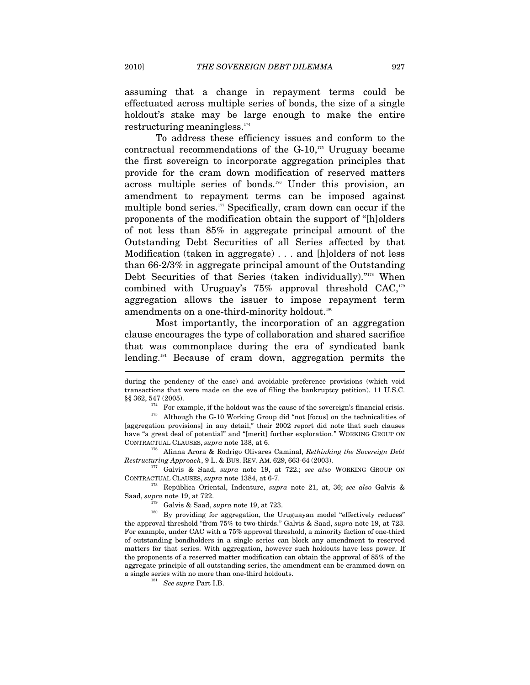assuming that a change in repayment terms could be effectuated across multiple series of bonds, the size of a single holdout's stake may be large enough to make the entire restructuring meaningless.174

To address these efficiency issues and conform to the contractual recommendations of the  $G-10$ ,<sup>175</sup> Uruguay became the first sovereign to incorporate aggregation principles that provide for the cram down modification of reserved matters across multiple series of bonds.<sup>176</sup> Under this provision, an amendment to repayment terms can be imposed against multiple bond series. $177$  Specifically, cram down can occur if the proponents of the modification obtain the support of "[h]olders of not less than 85% in aggregate principal amount of the Outstanding Debt Securities of all Series affected by that Modification (taken in aggregate) . . . and [h]olders of not less than 66-2/3% in aggregate principal amount of the Outstanding Debt Securities of that Series (taken individually)."<sup>178</sup> When combined with Uruguay's 75% approval threshold CAC,<sup>179</sup> aggregation allows the issuer to impose repayment term amendments on a one-third-minority holdout.<sup>180</sup>

Most importantly, the incorporation of an aggregation clause encourages the type of collaboration and shared sacrifice that was commonplace during the era of syndicated bank lending.181 Because of cram down, aggregation permits the

*Restructuring Approach*, 9 L. & BUS. REV. AM. 629, 663-64 (2003). 177 Galvis & Saad, *supra* note 19, at 722.; *see also* WORKING GROUP ON

CONTRACTUAL CLAUSES, *supra* note 1384, at 6-7. 178 República Oriental, Indenture, *supra* note 21, at, 36; *see also* Galvis &

Saad, *supra* note 19, at 722.<br><sup>179</sup> Galvis & Saad, *supra* note 19, at 723.<br><sup>180</sup> By providing for aggregation, the Uruguayan model "effectively reduces" the approval threshold "from 75% to two-thirds." Galvis & Saad, *supra* note 19, at 723. For example, under CAC with a 75% approval threshold, a minority faction of one-third of outstanding bondholders in a single series can block any amendment to reserved matters for that series. With aggregation, however such holdouts have less power. If the proponents of a reserved matter modification can obtain the approval of 85% of the aggregate principle of all outstanding series, the amendment can be crammed down on a single series with no more than one-third holdouts. 181 *See supra* Part I.B.

during the pendency of the case) and avoidable preference provisions (which void transactions that were made on the eve of filing the bankruptcy petition). 11 U.S.C.  $\S$  362, 547 (2005).

<sup>&</sup>lt;sup>174</sup> For example, if the holdout was the cause of the sovereign's financial crisis. Although the G-10 Working Group did "not [focus] on the technicalities of [aggregation provisions] in any detail," their 2002 report did note that such clauses have "a great deal of potential" and "[merit] further exploration." WORKING GROUP ON CONTRACTUAL CLAUSES, *supra* note 138, at 6. 176 Alinna Arora & Rodrigo Olivares Caminal, *Rethinking the Sovereign Debt*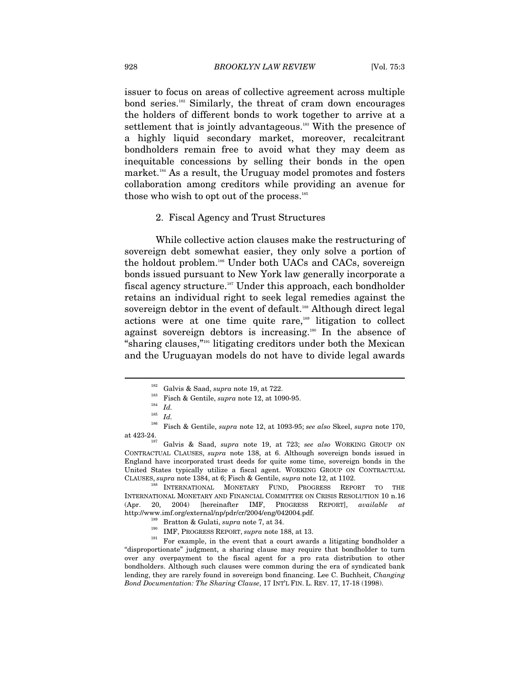issuer to focus on areas of collective agreement across multiple bond series.<sup>182</sup> Similarly, the threat of cram down encourages the holders of different bonds to work together to arrive at a settlement that is jointly advantageous.<sup>183</sup> With the presence of a highly liquid secondary market, moreover, recalcitrant bondholders remain free to avoid what they may deem as inequitable concessions by selling their bonds in the open market.<sup>184</sup> As a result, the Uruguay model promotes and fosters collaboration among creditors while providing an avenue for those who wish to opt out of the process.<sup>185</sup>

#### 2. Fiscal Agency and Trust Structures

While collective action clauses make the restructuring of sovereign debt somewhat easier, they only solve a portion of the holdout problem.186 Under both UACs and CACs, sovereign bonds issued pursuant to New York law generally incorporate a fiscal agency structure.<sup>187</sup> Under this approach, each bondholder retains an individual right to seek legal remedies against the sovereign debtor in the event of default.<sup>188</sup> Although direct legal actions were at one time quite rare,189 litigation to collect against sovereign debtors is increasing.190 In the absence of "sharing clauses,"191 litigating creditors under both the Mexican and the Uruguayan models do not have to divide legal awards

<sup>&</sup>lt;sup>182</sup> Galvis & Saad, *supra* note 19, at 722.<br><sup>183</sup> Fisch & Gentile, *supra* note 12, at 1090-95.<br>*Id. Is* 

 $\frac{185}{186}$  *Id.* 

<sup>186</sup> Fisch & Gentile, *supra* note 12, at 1093-95; *see also* Skeel, *supra* note 170, at 423-24. 187 Galvis & Saad, *supra* note 19, at 723; *see also* WORKING GROUP ON

CONTRACTUAL CLAUSES, *supra* note 138, at 6. Although sovereign bonds issued in England have incorporated trust deeds for quite some time, sovereign bonds in the United States typically utilize a fiscal agent. WORKING GROUP ON CONTRACTUAL

CLAUSES, *supra* note 1384, at 6; Fisch & Gentile, *supra* note 12, at 1102.<br><sup>188</sup> INTERNATIONAL MONETARY FUND, PROGRESS REPORT TO THE INTERNATIONAL MONETARY AND FINANCIAL COMMITTEE ON CRISIS RESOLUTION 10 n.16 (Apr. 20, 2004) [hereinafter IMF, PROGRESS REPORT], *available at*  http://www.imf.org/external/np/pdr/cr/2004/eng/042004.pdf.<br>Bratton & Gulati, *supra* note 7, at 34.<br>IMF, PROGRESS REPORT, *supra* note 188, at 13.<br>For example, in the event that a court awards a litigating bondholder a

<sup>&</sup>quot;disproportionate" judgment, a sharing clause may require that bondholder to turn over any overpayment to the fiscal agent for a pro rata distribution to other bondholders. Although such clauses were common during the era of syndicated bank lending, they are rarely found in sovereign bond financing. Lee C. Buchheit, *Changing Bond Documentation: The Sharing Clause*, 17 INT'L FIN. L. REV. 17, 17-18 (1998).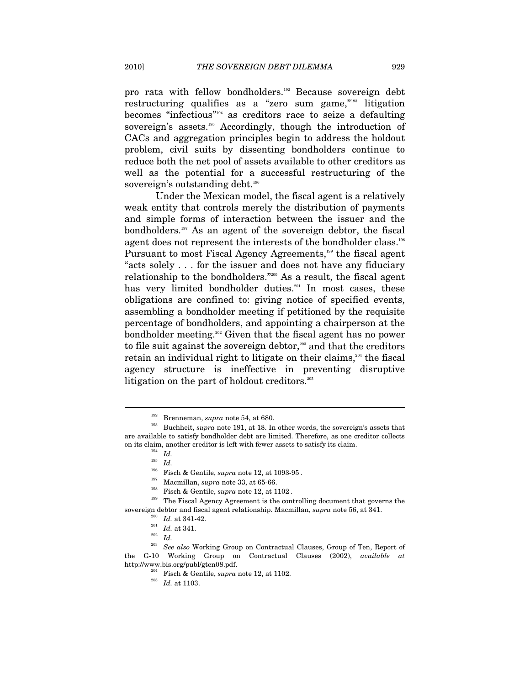pro rata with fellow bondholders.192 Because sovereign debt restructuring qualifies as a "zero sum game,"<sup>193</sup> litigation becomes "infectious"194 as creditors race to seize a defaulting sovereign's assets.<sup>195</sup> Accordingly, though the introduction of CACs and aggregation principles begin to address the holdout problem, civil suits by dissenting bondholders continue to reduce both the net pool of assets available to other creditors as well as the potential for a successful restructuring of the sovereign's outstanding debt.<sup>196</sup>

Under the Mexican model, the fiscal agent is a relatively weak entity that controls merely the distribution of payments and simple forms of interaction between the issuer and the bondholders.197 As an agent of the sovereign debtor, the fiscal agent does not represent the interests of the bondholder class.<sup>198</sup> Pursuant to most Fiscal Agency Agreements,<sup>199</sup> the fiscal agent "acts solely . . . for the issuer and does not have any fiduciary relationship to the bondholders."200 As a result, the fiscal agent has very limited bondholder duties.<sup>201</sup> In most cases, these obligations are confined to: giving notice of specified events, assembling a bondholder meeting if petitioned by the requisite percentage of bondholders, and appointing a chairperson at the bondholder meeting.<sup>202</sup> Given that the fiscal agent has no power to file suit against the sovereign debtor, $203$  and that the creditors retain an individual right to litigate on their claims,<sup>204</sup> the fiscal agency structure is ineffective in preventing disruptive litigation on the part of holdout creditors.<sup>205</sup>

<sup>&</sup>lt;sup>192</sup> Brenneman, *supra* note 54, at 680.<br><sup>193</sup> Buchheit, *supra* note 191, at 18. In other words, the sovereign's assets that are available to satisfy bondholder debt are limited. Therefore, as one creditor collects on its claim, another creditor is left with fewer assets to satisfy its claim.<br>  $\frac{194}{195}$  *Id.* 

<sup>&</sup>lt;sup>196</sup> *Id.* Fisch & Gentile, *supra* note 12, at 1093-95.

<sup>&</sup>lt;sup>197</sup> Macmillan, *supra* note 33, at 65-66.<br><sup>198</sup> Fisch & Gentile, *supra* note 12, at 1102.<br><sup>199</sup> The Fiscal Agency Agreement is the controlling document that governs the

<sup>%</sup> sovereign debtor and fiscal agent relationship. Macmillan, *supra* note 56, at 341.<br>
<sup>200</sup> *Id.* at 341-42.<br>
<sup>201</sup> *Id.* at 341.<br>
<sup>202</sup> *Id. Id.*<br>
<sup>202</sup> *Ig. See also* Working Group on Contractual Clauses, Group of Te the G-10 Working Group on Contractual Clauses (2002), *available at*  http://www.bis.org/publ/gten08.pdf. 204 Fisch & Gentile, *supra* note 12, at 1102. 205 *Id.* at 1103.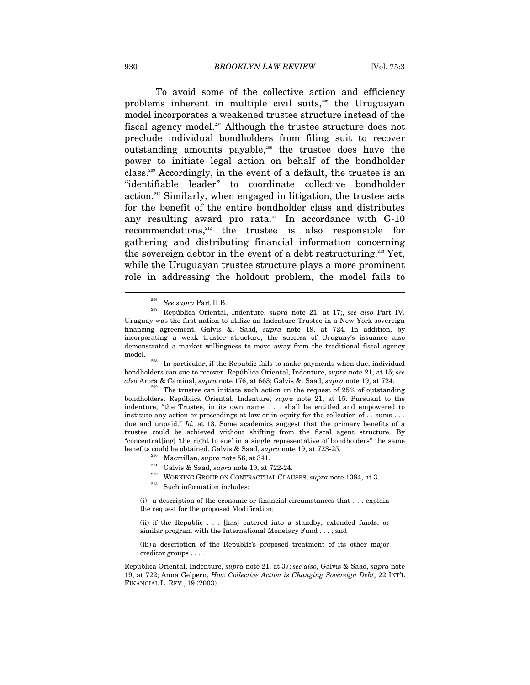To avoid some of the collective action and efficiency problems inherent in multiple civil suits,206 the Uruguayan model incorporates a weakened trustee structure instead of the fiscal agency model.<sup>207</sup> Although the trustee structure does not preclude individual bondholders from filing suit to recover outstanding amounts payable, $208$  the trustee does have the power to initiate legal action on behalf of the bondholder class.209 Accordingly, in the event of a default, the trustee is an "identifiable leader" to coordinate collective bondholder action.210 Similarly, when engaged in litigation, the trustee acts for the benefit of the entire bondholder class and distributes any resulting award pro rata.<sup>211</sup> In accordance with G-10 recommendations,212 the trustee is also responsible for gathering and distributing financial information concerning the sovereign debtor in the event of a debt restructuring.<sup>213</sup> Yet, while the Uruguayan trustee structure plays a more prominent role in addressing the holdout problem, the model fails to

- 
- 
- benefits could be obtained. Galvis & Saad, *supra* note 19, at 723-25.<br><sup>210</sup> Macmillan, *supra* note 56, at 341.<br><sup>211</sup> Galvis & Saad, *supra* note 19, at 722-24.<br><sup>212</sup> WORKING GROUP ON CONTRACTUAL CLAUSES, *supra* note 13

(i) a description of the economic or financial circumstances that . . . explain the request for the proposed Modification;

(ii) if the Republic . . . [has] entered into a standby, extended funds, or similar program with the International Monetary Fund . . . ; and

(iii) a description of the Republic's proposed treatment of its other major creditor groups . . . .

República Oriental, Indenture, *supra* note 21, at 37; *see also*, Galvis & Saad, *supra* note 19, at 722; Anna Gelpern, *How Collective Action is Changing Sovereign Debt*, 22 INT'L FINANCIAL L. REV., 19 (2003).

<sup>206</sup> *See supra* Part II.B. 207 República Oriental, Indenture, *supra* note 21, at 17;, *see also* Part IV. Uruguay was the first nation to utilize an Indenture Trustee in a New York sovereign financing agreement. Galvis &. Saad, *supra* note 19, at 724. In addition, by incorporating a weak trustee structure, the success of Uruguay's issuance also demonstrated a market willingness to move away from the traditional fiscal agency

model. <sup>208</sup> In particular, if the Republic fails to make payments when due, individual bondholders can sue to recover. República Oriental, Indenture, *supra* note 21, at 15; *see* 

*also* Arora & Caminal, *supra* note 176, at 663; Galvis &. Saad, *supra* note 19, at 724. 209 The trustee can initiate such action on the request of 25% of outstanding bondholders. República Oriental, Indenture, *supra* note 21, at 15. Pursuant to the indenture, "the Trustee, in its own name . . . shall be entitled and empowered to institute any action or proceedings at law or in equity for the collection of . . sums . . . due and unpaid." *Id.* at 13. Some academics suggest that the primary benefits of a trustee could be achieved without shifting from the fiscal agent structure. By "concentrat[ing] 'the right to sue' in a single representative of bondholders" the same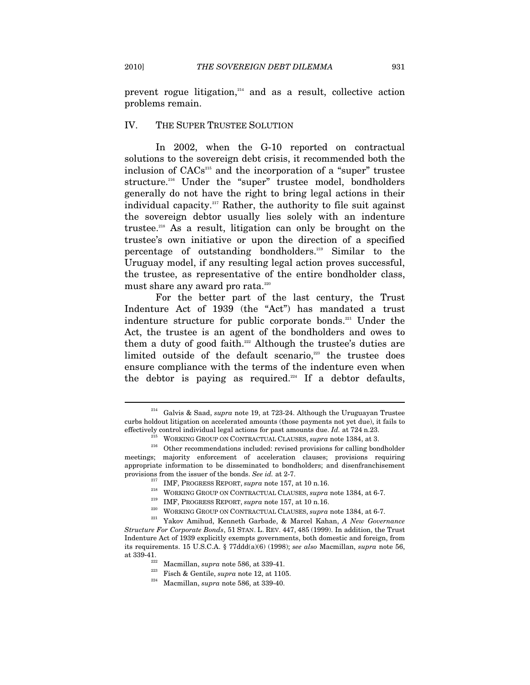prevent rogue litigation, $214$  and as a result, collective action problems remain.

#### IV. THE SUPER TRUSTEE SOLUTION

In 2002, when the G-10 reported on contractual solutions to the sovereign debt crisis, it recommended both the inclusion of CACs215 and the incorporation of a "super" trustee structure.<sup>216</sup> Under the "super" trustee model, bondholders generally do not have the right to bring legal actions in their individual capacity.217 Rather, the authority to file suit against the sovereign debtor usually lies solely with an indenture trustee.218 As a result, litigation can only be brought on the trustee's own initiative or upon the direction of a specified percentage of outstanding bondholders.219 Similar to the Uruguay model, if any resulting legal action proves successful, the trustee, as representative of the entire bondholder class, must share any award pro rata.<sup>220</sup>

For the better part of the last century, the Trust Indenture Act of 1939 (the "Act") has mandated a trust indenture structure for public corporate bonds.<sup>221</sup> Under the Act, the trustee is an agent of the bondholders and owes to them a duty of good faith.<sup>222</sup> Although the trustee's duties are limited outside of the default scenario,<sup>223</sup> the trustee does ensure compliance with the terms of the indenture even when the debtor is paying as required.<sup>224</sup> If a debtor defaults,

<sup>214</sup> Galvis & Saad, *supra* note 19, at 723-24. Although the Uruguayan Trustee curbs holdout litigation on accelerated amounts (those payments not yet due), it fails to % effectively control individual legal actions for past amounts due. Id. at 724 n.23.<br><sup>215</sup> WORKING GROUP ON CONTRACTUAL CLAUSES, *supra* note 1384, at 3.<br><sup>216</sup> Other recommendations included: revised provisions for calli

meetings; majority enforcement of acceleration clauses; provisions requiring appropriate information to be disseminated to bondholders; and disenfranchisement provisions from the issuer of the bonds. See id. at 2-7.<br>
<sup>217</sup> IMF, PROGRESS REPORT, *supra* note 157, at 10 n.16.<br>
<sup>218</sup> WORKING GROUP ON CONTRACTUAL CLAUSES, *supra* note 1384, at 6-7.<br>
<sup>219</sup> IMF, PROGRESS REPORT, *sup* 

*Structure For Corporate Bonds*, 51 STAN. L. REV. 447, 485 (1999). In addition, the Trust Indenture Act of 1939 explicitly exempts governments, both domestic and foreign, from its requirements. 15 U.S.C.A. § 77ddd(a)(6) (1998); *see also* Macmillan, *supra* note 56,

Macmillan, *supra* note 586, at 339-41.

<sup>223</sup> Fisch & Gentile, *supra* note 12, at 1105. 224 Macmillan, *supra* note 586, at 339-40.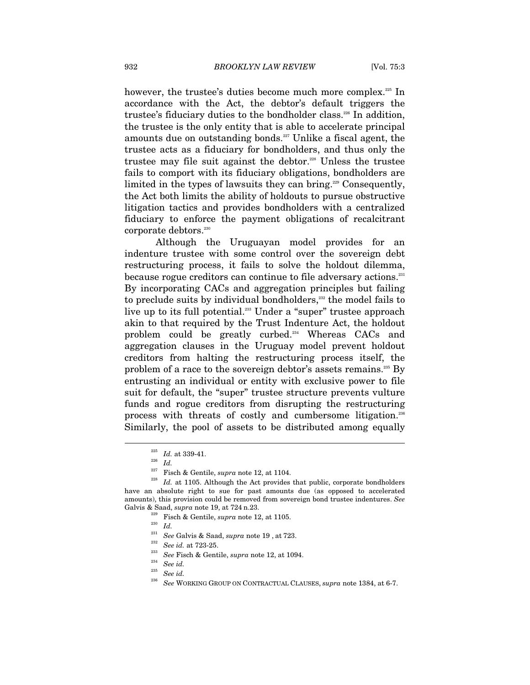however, the trustee's duties become much more complex.<sup>225</sup> In accordance with the Act, the debtor's default triggers the trustee's fiduciary duties to the bondholder class.<sup>226</sup> In addition, the trustee is the only entity that is able to accelerate principal amounts due on outstanding bonds.<sup>227</sup> Unlike a fiscal agent, the trustee acts as a fiduciary for bondholders, and thus only the trustee may file suit against the debtor.<sup>228</sup> Unless the trustee fails to comport with its fiduciary obligations, bondholders are limited in the types of lawsuits they can bring.<sup>229</sup> Consequently, the Act both limits the ability of holdouts to pursue obstructive litigation tactics and provides bondholders with a centralized fiduciary to enforce the payment obligations of recalcitrant corporate debtors.<sup>230</sup>

Although the Uruguayan model provides for an indenture trustee with some control over the sovereign debt restructuring process, it fails to solve the holdout dilemma, because rogue creditors can continue to file adversary actions.<sup>231</sup> By incorporating CACs and aggregation principles but failing to preclude suits by individual bondholders,<sup>232</sup> the model fails to live up to its full potential.<sup>233</sup> Under a "super" trustee approach akin to that required by the Trust Indenture Act, the holdout problem could be greatly curbed.<sup>234</sup> Whereas CACs and aggregation clauses in the Uruguay model prevent holdout creditors from halting the restructuring process itself, the problem of a race to the sovereign debtor's assets remains.235 By entrusting an individual or entity with exclusive power to file suit for default, the "super" trustee structure prevents vulture funds and rogue creditors from disrupting the restructuring process with threats of costly and cumbersome litigation.236 Similarly, the pool of assets to be distributed among equally

 $\frac{225}{226}$  *Id.* at 339-41.<br> $\frac{226}{227}$  **Eight** 8 Caption

<sup>&</sup>lt;sup>227</sup> Fisch & Gentile, *supra* note 12, at 1104.<br><sup>228</sup> *Id.* at 1105. Although the Act provides that public, corporate bondholders have an absolute right to sue for past amounts due (as opposed to accelerated amounts), this provision could be removed from sovereign bond trustee indentures. *See* Galvis & Saad, *supra* note 19, at 724 n.23.<br><sup>229</sup> Fisch & Gentile, *supra* note 12, at 1105.<br>*Id.* 

<sup>231</sup> *See* Galvis & Saad, *supra* note 19 , at 723. 232 *See id.* at 723-25. 233 *See* Fisch & Gentile, *supra* note 12, at 1094. 234 *See id.* 

 $\frac{^{235}}{^{236}}$  *See id.* 

<sup>236</sup> *See* WORKING GROUP ON CONTRACTUAL CLAUSES, *supra* note 1384, at 6-7.